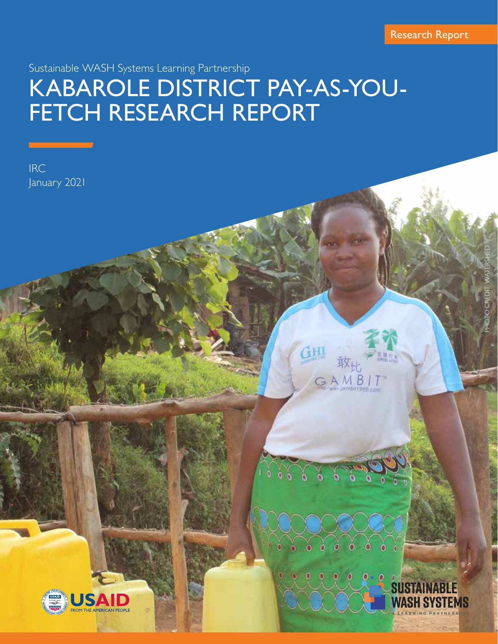PHOTO CREDIT: WATERSHED

Sustainable WASH Systems Learning Partnership

# KABAROLE DISTRICT PAY-AS-YOU-FETCH RESEARCH REPORT

IRC January 2021



 $\mathcal{C}$ 

 $6\degree$ 

 $000$ 

22222

 $\ddot{\bullet}$ ò

 $\dot{\mathbf{s}}$ 

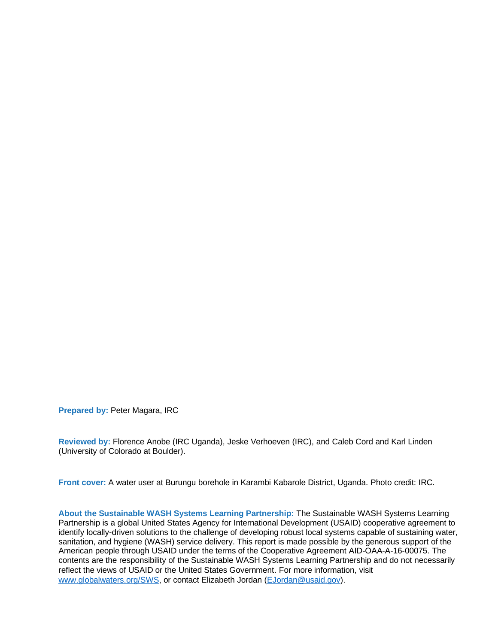**Prepared by:** Peter Magara, IRC

**Reviewed by:** Florence Anobe (IRC Uganda), Jeske Verhoeven (IRC), and Caleb Cord and Karl Linden (University of Colorado at Boulder).

**Front cover:** A water user at Burungu borehole in Karambi Kabarole District, Uganda. Photo credit: IRC.

**About the Sustainable WASH Systems Learning Partnership:** The Sustainable WASH Systems Learning Partnership is a global United States Agency for International Development (USAID) cooperative agreement to identify locally-driven solutions to the challenge of developing robust local systems capable of sustaining water, sanitation, and hygiene (WASH) service delivery. This report is made possible by the generous support of the American people through USAID under the terms of the Cooperative Agreement AID-OAA-A-16-00075. The contents are the responsibility of the Sustainable WASH Systems Learning Partnership and do not necessarily reflect the views of USAID or the United States Government. For more information, visit [www.globalwaters.org/SWS,](http://www.globalwaters.org/SWS) or contact Elizabeth Jordan [\(EJordan@usaid.gov\)](mailto:EJordan@usaid.gov).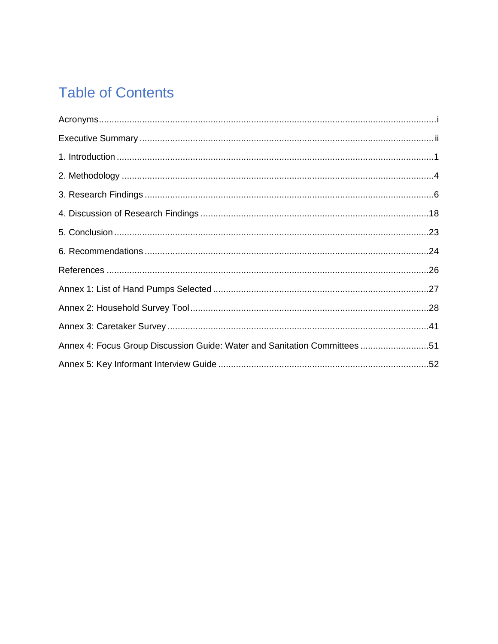### **Table of Contents**

| Annex 4: Focus Group Discussion Guide: Water and Sanitation Committees 51 |  |
|---------------------------------------------------------------------------|--|
|                                                                           |  |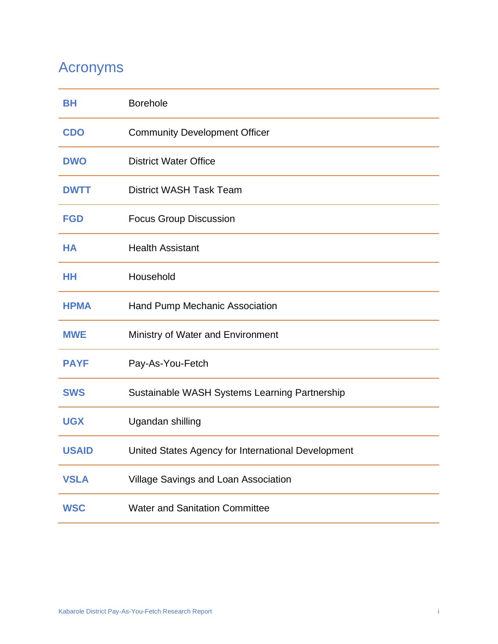### Acronyms

| BH           | <b>Borehole</b>                                    |
|--------------|----------------------------------------------------|
| <b>CDO</b>   | <b>Community Development Officer</b>               |
| <b>DWO</b>   | <b>District Water Office</b>                       |
| <b>DWTT</b>  | <b>District WASH Task Team</b>                     |
| <b>FGD</b>   | <b>Focus Group Discussion</b>                      |
| HA           | <b>Health Assistant</b>                            |
| HH           | Household                                          |
| <b>HPMA</b>  | Hand Pump Mechanic Association                     |
| <b>MWE</b>   | Ministry of Water and Environment                  |
| <b>PAYF</b>  | Pay-As-You-Fetch                                   |
| <b>SWS</b>   | Sustainable WASH Systems Learning Partnership      |
| <b>UGX</b>   | Ugandan shilling                                   |
| <b>USAID</b> | United States Agency for International Development |
| <b>VSLA</b>  | Village Savings and Loan Association               |
| <b>WSC</b>   | <b>Water and Sanitation Committee</b>              |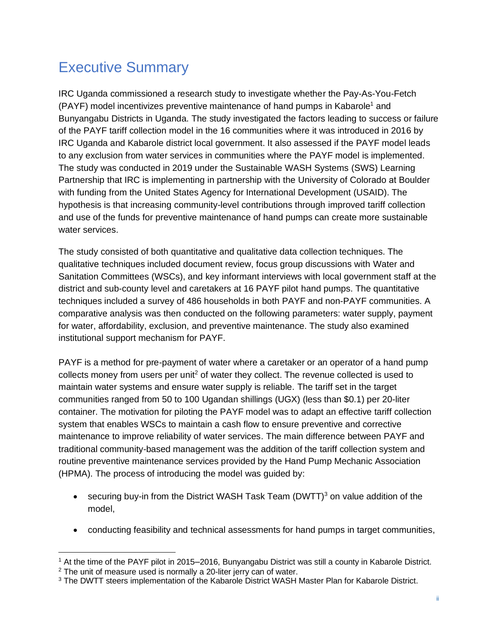### Executive Summary

IRC Uganda commissioned a research study to investigate whether the Pay-As-You-Fetch (PAYF) model incentivizes preventive maintenance of hand pumps in Kabarole<sup>1</sup> and Bunyangabu Districts in Uganda. The study investigated the factors leading to success or failure of the PAYF tariff collection model in the 16 communities where it was introduced in 2016 by IRC Uganda and Kabarole district local government. It also assessed if the PAYF model leads to any exclusion from water services in communities where the PAYF model is implemented. The study was conducted in 2019 under the Sustainable WASH Systems (SWS) Learning Partnership that IRC is implementing in partnership with the University of Colorado at Boulder with funding from the United States Agency for International Development (USAID). The hypothesis is that increasing community-level contributions through improved tariff collection and use of the funds for preventive maintenance of hand pumps can create more sustainable water services.

The study consisted of both quantitative and qualitative data collection techniques. The qualitative techniques included document review, focus group discussions with Water and Sanitation Committees (WSCs), and key informant interviews with local government staff at the district and sub-county level and caretakers at 16 PAYF pilot hand pumps. The quantitative techniques included a survey of 486 households in both PAYF and non-PAYF communities. A comparative analysis was then conducted on the following parameters: water supply, payment for water, affordability, exclusion, and preventive maintenance. The study also examined institutional support mechanism for PAYF.

PAYF is a method for pre-payment of water where a caretaker or an operator of a hand pump collects money from users per unit<sup>2</sup> of water they collect. The revenue collected is used to maintain water systems and ensure water supply is reliable. The tariff set in the target communities ranged from 50 to 100 Ugandan shillings (UGX) (less than \$0.1) per 20-liter container. The motivation for piloting the PAYF model was to adapt an effective tariff collection system that enables WSCs to maintain a cash flow to ensure preventive and corrective maintenance to improve reliability of water services. The main difference between PAYF and traditional community-based management was the addition of the tariff collection system and routine preventive maintenance services provided by the Hand Pump Mechanic Association (HPMA). The process of introducing the model was guided by:

- securing buy-in from the District WASH Task Team (DWTT)<sup>3</sup> on value addition of the model,
- conducting feasibility and technical assessments for hand pumps in target communities,

<sup>1</sup> At the time of the PAYF pilot in 2015–2016, Bunyangabu District was still a county in Kabarole District.

 $2$  The unit of measure used is normally a 20-liter jerry can of water.

<sup>&</sup>lt;sup>3</sup> The DWTT steers implementation of the Kabarole District WASH Master Plan for Kabarole District.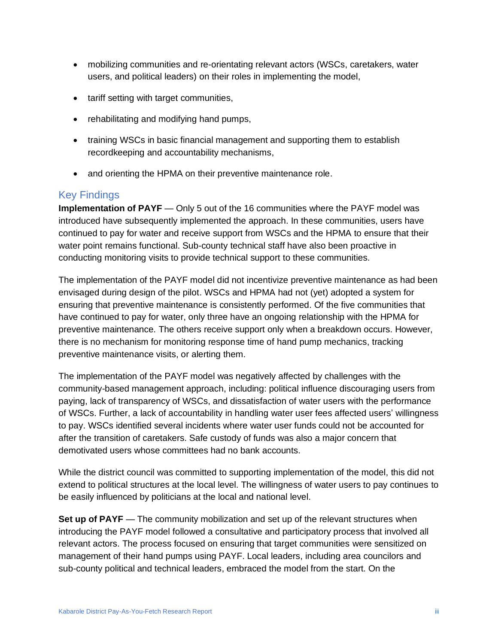- mobilizing communities and re-orientating relevant actors (WSCs, caretakers, water users, and political leaders) on their roles in implementing the model,
- tariff setting with target communities,
- rehabilitating and modifying hand pumps,
- training WSCs in basic financial management and supporting them to establish recordkeeping and accountability mechanisms,
- and orienting the HPMA on their preventive maintenance role.

#### Key Findings

**Implementation of PAYF** — Only 5 out of the 16 communities where the PAYF model was introduced have subsequently implemented the approach. In these communities, users have continued to pay for water and receive support from WSCs and the HPMA to ensure that their water point remains functional. Sub-county technical staff have also been proactive in conducting monitoring visits to provide technical support to these communities.

The implementation of the PAYF model did not incentivize preventive maintenance as had been envisaged during design of the pilot. WSCs and HPMA had not (yet) adopted a system for ensuring that preventive maintenance is consistently performed. Of the five communities that have continued to pay for water, only three have an ongoing relationship with the HPMA for preventive maintenance. The others receive support only when a breakdown occurs. However, there is no mechanism for monitoring response time of hand pump mechanics, tracking preventive maintenance visits, or alerting them.

The implementation of the PAYF model was negatively affected by challenges with the community-based management approach, including: political influence discouraging users from paying, lack of transparency of WSCs, and dissatisfaction of water users with the performance of WSCs. Further, a lack of accountability in handling water user fees affected users' willingness to pay. WSCs identified several incidents where water user funds could not be accounted for after the transition of caretakers. Safe custody of funds was also a major concern that demotivated users whose committees had no bank accounts.

While the district council was committed to supporting implementation of the model, this did not extend to political structures at the local level. The willingness of water users to pay continues to be easily influenced by politicians at the local and national level.

**Set up of PAYF** — The community mobilization and set up of the relevant structures when introducing the PAYF model followed a consultative and participatory process that involved all relevant actors. The process focused on ensuring that target communities were sensitized on management of their hand pumps using PAYF. Local leaders, including area councilors and sub-county political and technical leaders, embraced the model from the start. On the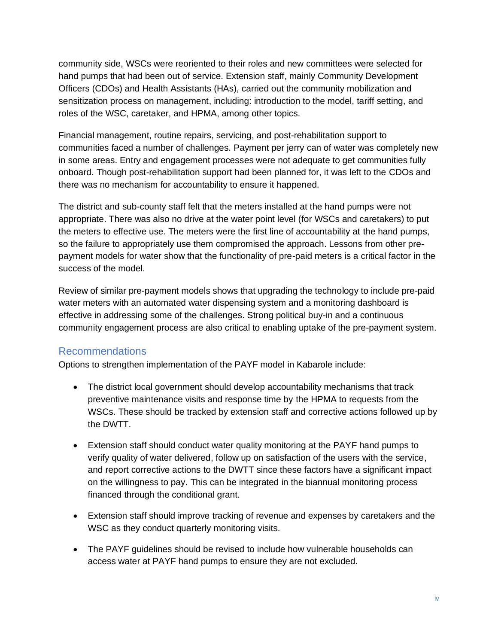community side, WSCs were reoriented to their roles and new committees were selected for hand pumps that had been out of service. Extension staff, mainly Community Development Officers (CDOs) and Health Assistants (HAs), carried out the community mobilization and sensitization process on management, including: introduction to the model, tariff setting, and roles of the WSC, caretaker, and HPMA, among other topics.

Financial management, routine repairs, servicing, and post-rehabilitation support to communities faced a number of challenges. Payment per jerry can of water was completely new in some areas. Entry and engagement processes were not adequate to get communities fully onboard. Though post-rehabilitation support had been planned for, it was left to the CDOs and there was no mechanism for accountability to ensure it happened.

The district and sub-county staff felt that the meters installed at the hand pumps were not appropriate. There was also no drive at the water point level (for WSCs and caretakers) to put the meters to effective use. The meters were the first line of accountability at the hand pumps, so the failure to appropriately use them compromised the approach. Lessons from other prepayment models for water show that the functionality of pre-paid meters is a critical factor in the success of the model.

Review of similar pre-payment models shows that upgrading the technology to include pre-paid water meters with an automated water dispensing system and a monitoring dashboard is effective in addressing some of the challenges. Strong political buy-in and a continuous community engagement process are also critical to enabling uptake of the pre-payment system.

#### Recommendations

Options to strengthen implementation of the PAYF model in Kabarole include:

- The district local government should develop accountability mechanisms that track preventive maintenance visits and response time by the HPMA to requests from the WSCs. These should be tracked by extension staff and corrective actions followed up by the DWTT.
- Extension staff should conduct water quality monitoring at the PAYF hand pumps to verify quality of water delivered, follow up on satisfaction of the users with the service, and report corrective actions to the DWTT since these factors have a significant impact on the willingness to pay. This can be integrated in the biannual monitoring process financed through the conditional grant.
- Extension staff should improve tracking of revenue and expenses by caretakers and the WSC as they conduct quarterly monitoring visits.
- The PAYF guidelines should be revised to include how vulnerable households can access water at PAYF hand pumps to ensure they are not excluded.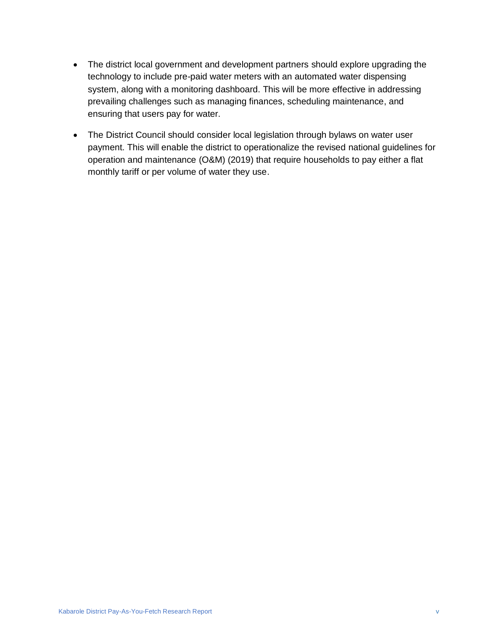- The district local government and development partners should explore upgrading the technology to include pre-paid water meters with an automated water dispensing system, along with a monitoring dashboard. This will be more effective in addressing prevailing challenges such as managing finances, scheduling maintenance, and ensuring that users pay for water.
- The District Council should consider local legislation through bylaws on water user payment. This will enable the district to operationalize the revised national guidelines for operation and maintenance (O&M) (2019) that require households to pay either a flat monthly tariff or per volume of water they use.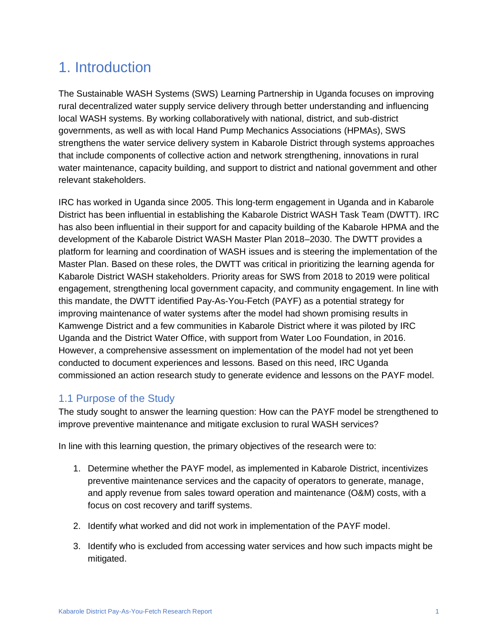### 1. Introduction

The Sustainable WASH Systems (SWS) Learning Partnership in Uganda focuses on improving rural decentralized water supply service delivery through better understanding and influencing local WASH systems. By working collaboratively with national, district, and sub-district governments, as well as with local Hand Pump Mechanics Associations (HPMAs), SWS strengthens the water service delivery system in Kabarole District through systems approaches that include components of collective action and network strengthening, innovations in rural water maintenance, capacity building, and support to district and national government and other relevant stakeholders.

IRC has worked in Uganda since 2005. This long-term engagement in Uganda and in Kabarole District has been influential in establishing the Kabarole District WASH Task Team (DWTT). IRC has also been influential in their support for and capacity building of the Kabarole HPMA and the development of the Kabarole District WASH Master Plan 2018–2030. The DWTT provides a platform for learning and coordination of WASH issues and is steering the implementation of the Master Plan. Based on these roles, the DWTT was critical in prioritizing the learning agenda for Kabarole District WASH stakeholders. Priority areas for SWS from 2018 to 2019 were political engagement, strengthening local government capacity, and community engagement. In line with this mandate, the DWTT identified Pay-As-You-Fetch (PAYF) as a potential strategy for improving maintenance of water systems after the model had shown promising results in Kamwenge District and a few communities in Kabarole District where it was piloted by IRC Uganda and the District Water Office, with support from Water Loo Foundation, in 2016. However, a comprehensive assessment on implementation of the model had not yet been conducted to document experiences and lessons. Based on this need, IRC Uganda commissioned an action research study to generate evidence and lessons on the PAYF model.

#### 1.1 Purpose of the Study

The study sought to answer the learning question: How can the PAYF model be strengthened to improve preventive maintenance and mitigate exclusion to rural WASH services?

In line with this learning question, the primary objectives of the research were to:

- 1. Determine whether the PAYF model, as implemented in Kabarole District, incentivizes preventive maintenance services and the capacity of operators to generate, manage, and apply revenue from sales toward operation and maintenance (O&M) costs, with a focus on cost recovery and tariff systems.
- 2. Identify what worked and did not work in implementation of the PAYF model.
- 3. Identify who is excluded from accessing water services and how such impacts might be mitigated.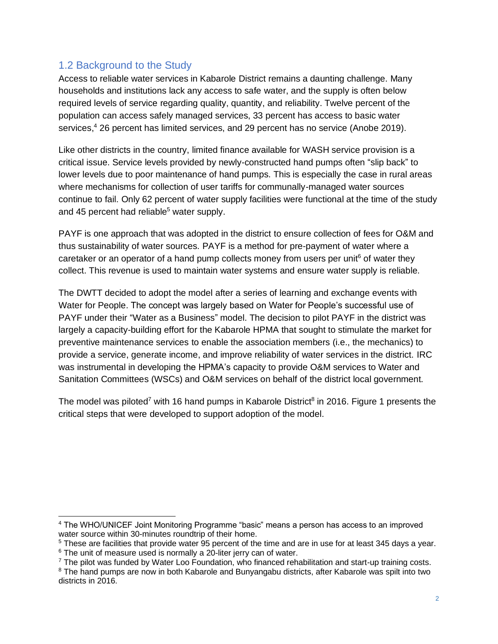#### 1.2 Background to the Study

Access to reliable water services in Kabarole District remains a daunting challenge. Many households and institutions lack any access to safe water, and the supply is often below required levels of service regarding quality, quantity, and reliability. Twelve percent of the population can access safely managed services, 33 percent has access to basic water services,<sup>4</sup> 26 percent has limited services, and 29 percent has no service (Anobe 2019).

Like other districts in the country, limited finance available for WASH service provision is a critical issue. Service levels provided by newly-constructed hand pumps often "slip back" to lower levels due to poor maintenance of hand pumps. This is especially the case in rural areas where mechanisms for collection of user tariffs for communally-managed water sources continue to fail. Only 62 percent of water supply facilities were functional at the time of the study and 45 percent had reliable<sup>5</sup> water supply.

PAYF is one approach that was adopted in the district to ensure collection of fees for O&M and thus sustainability of water sources. PAYF is a method for pre-payment of water where a caretaker or an operator of a hand pump collects money from users per unit<sup>6</sup> of water they collect. This revenue is used to maintain water systems and ensure water supply is reliable.

The DWTT decided to adopt the model after a series of learning and exchange events with Water for People. The concept was largely based on Water for People's successful use of PAYF under their "Water as a Business" model. The decision to pilot PAYF in the district was largely a capacity-building effort for the Kabarole HPMA that sought to stimulate the market for preventive maintenance services to enable the association members (i.e., the mechanics) to provide a service, generate income, and improve reliability of water services in the district. IRC was instrumental in developing the HPMA's capacity to provide O&M services to Water and Sanitation Committees (WSCs) and O&M services on behalf of the district local government.

The model was piloted<sup>7</sup> with 16 hand pumps in Kabarole District<sup>8</sup> in 2016. Figure 1 presents the critical steps that were developed to support adoption of the model.

<sup>4</sup> The WHO/UNICEF Joint Monitoring Programme "basic" means a person has access to an improved water source within 30-minutes roundtrip of their home.

<sup>&</sup>lt;sup>5</sup> These are facilities that provide water 95 percent of the time and are in use for at least 345 days a year.

 $6$  The unit of measure used is normally a 20-liter jerry can of water.

 $7$  The pilot was funded by Water Loo Foundation, who financed rehabilitation and start-up training costs.

<sup>&</sup>lt;sup>8</sup> The hand pumps are now in both Kabarole and Bunyangabu districts, after Kabarole was spilt into two districts in 2016.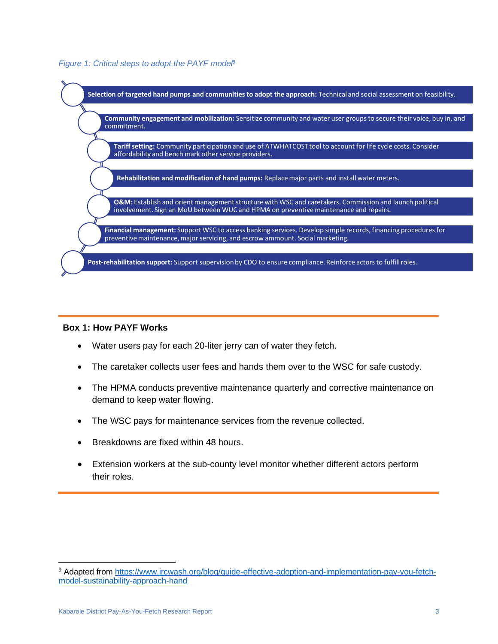#### *Figure 1: Critical steps to adopt the PAYF model<sup>9</sup>*



#### **Box 1: How PAYF Works**

- Water users pay for each 20-liter jerry can of water they fetch.
- The caretaker collects user fees and hands them over to the WSC for safe custody.
- The HPMA conducts preventive maintenance quarterly and corrective maintenance on demand to keep water flowing.
- The WSC pays for maintenance services from the revenue collected.
- Breakdowns are fixed within 48 hours.
- Extension workers at the sub-county level monitor whether different actors perform their roles.

<sup>9</sup> Adapted from [https://www.ircwash.org/blog/guide-effective-adoption-and-implementation-pay-you-fetch](https://www.ircwash.org/blog/guide-effective-adoption-and-implementation-pay-you-fetch-model-sustainability-approach-hand)[model-sustainability-approach-hand](https://www.ircwash.org/blog/guide-effective-adoption-and-implementation-pay-you-fetch-model-sustainability-approach-hand)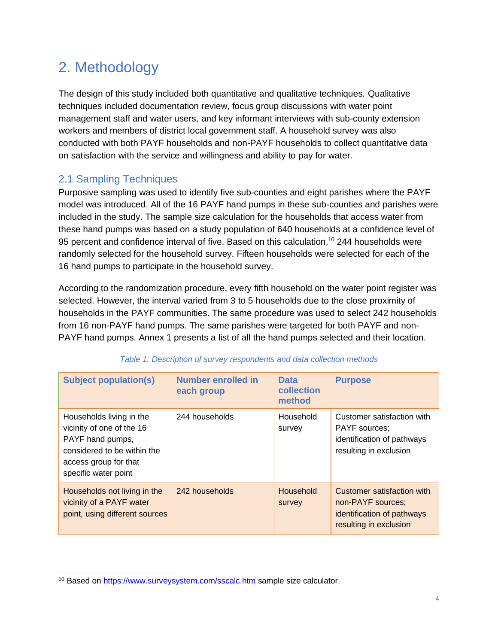# 2. Methodology

The design of this study included both quantitative and qualitative techniques. Qualitative techniques included documentation review, focus group discussions with water point management staff and water users, and key informant interviews with sub-county extension workers and members of district local government staff. A household survey was also conducted with both PAYF households and non-PAYF households to collect quantitative data on satisfaction with the service and willingness and ability to pay for water.

#### 2.1 Sampling Techniques

Purposive sampling was used to identify five sub-counties and eight parishes where the PAYF model was introduced. All of the 16 PAYF hand pumps in these sub-counties and parishes were included in the study. The sample size calculation for the households that access water from these hand pumps was based on a study population of 640 households at a confidence level of 95 percent and confidence interval of five. Based on this calculation,<sup>10</sup> 244 households were randomly selected for the household survey. Fifteen households were selected for each of the 16 hand pumps to participate in the household survey.

According to the randomization procedure, every fifth household on the water point register was selected. However, the interval varied from 3 to 5 households due to the close proximity of households in the PAYF communities. The same procedure was used to select 242 households from 16 non-PAYF hand pumps. The same parishes were targeted for both PAYF and non-PAYF hand pumps. Annex 1 presents a list of all the hand pumps selected and their location.

| <b>Subject population(s)</b>                                                                                                                              | <b>Number enrolled in</b><br>each group | <b>Data</b><br>collection<br>method | <b>Purpose</b>                                                                                             |
|-----------------------------------------------------------------------------------------------------------------------------------------------------------|-----------------------------------------|-------------------------------------|------------------------------------------------------------------------------------------------------------|
| Households living in the<br>vicinity of one of the 16<br>PAYF hand pumps,<br>considered to be within the<br>access group for that<br>specific water point | 244 households                          | Household<br>survey                 | Customer satisfaction with<br><b>PAYF</b> sources;<br>identification of pathways<br>resulting in exclusion |
| Households not living in the<br>vicinity of a PAYF water<br>point, using different sources                                                                | 242 households                          | Household<br>survey                 | Customer satisfaction with<br>non-PAYF sources;<br>identification of pathways<br>resulting in exclusion    |

#### *Table 1: Description of survey respondents and data collection methods*

<sup>&</sup>lt;sup>10</sup> Based on<https://www.surveysystem.com/sscalc.htm> sample size calculator.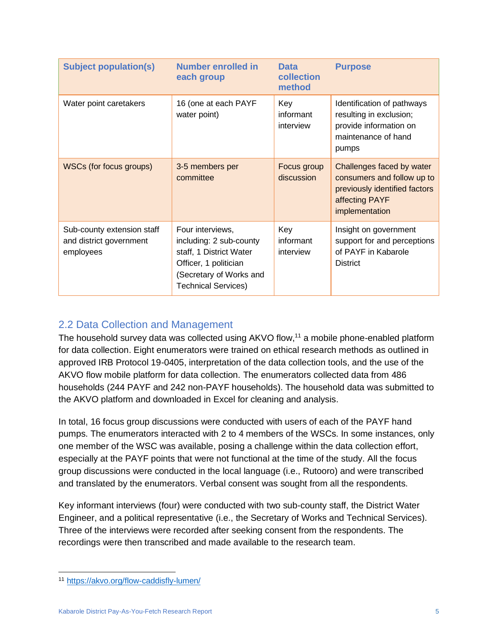| <b>Subject population(s)</b>                                       | <b>Number enrolled in</b><br>each group                                                                                                                  | <b>Data</b><br>collection<br>method | <b>Purpose</b>                                                                                                               |
|--------------------------------------------------------------------|----------------------------------------------------------------------------------------------------------------------------------------------------------|-------------------------------------|------------------------------------------------------------------------------------------------------------------------------|
| Water point caretakers                                             | 16 (one at each PAYF<br>water point)                                                                                                                     | Key<br>informant<br>interview       | Identification of pathways<br>resulting in exclusion;<br>provide information on<br>maintenance of hand<br>pumps              |
| WSCs (for focus groups)                                            | 3-5 members per<br>committee                                                                                                                             | Focus group<br>discussion           | Challenges faced by water<br>consumers and follow up to<br>previously identified factors<br>affecting PAYF<br>implementation |
| Sub-county extension staff<br>and district government<br>employees | Four interviews,<br>including: 2 sub-county<br>staff, 1 District Water<br>Officer, 1 politician<br>(Secretary of Works and<br><b>Technical Services)</b> | Key<br>informant<br>interview       | Insight on government<br>support for and perceptions<br>of PAYF in Kabarole<br><b>District</b>                               |

#### 2.2 Data Collection and Management

The household survey data was collected using AKVO flow,<sup>11</sup> a mobile phone-enabled platform for data collection. Eight enumerators were trained on ethical research methods as outlined in approved IRB Protocol 19-0405, interpretation of the data collection tools, and the use of the AKVO flow mobile platform for data collection. The enumerators collected data from 486 households (244 PAYF and 242 non-PAYF households). The household data was submitted to the AKVO platform and downloaded in Excel for cleaning and analysis.

In total, 16 focus group discussions were conducted with users of each of the PAYF hand pumps. The enumerators interacted with 2 to 4 members of the WSCs. In some instances, only one member of the WSC was available, posing a challenge within the data collection effort, especially at the PAYF points that were not functional at the time of the study. All the focus group discussions were conducted in the local language (i.e., Rutooro) and were transcribed and translated by the enumerators. Verbal consent was sought from all the respondents.

Key informant interviews (four) were conducted with two sub-county staff, the District Water Engineer, and a political representative (i.e., the Secretary of Works and Technical Services). Three of the interviews were recorded after seeking consent from the respondents. The recordings were then transcribed and made available to the research team.

<sup>11</sup> <https://akvo.org/flow-caddisfly-lumen/>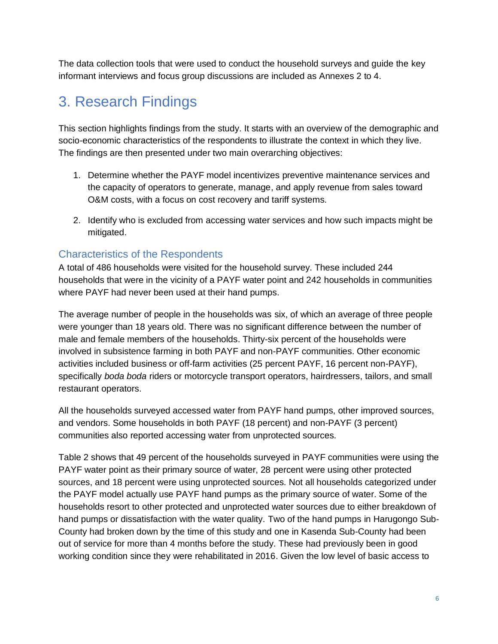The data collection tools that were used to conduct the household surveys and guide the key informant interviews and focus group discussions are included as Annexes 2 to 4.

# 3. Research Findings

This section highlights findings from the study. It starts with an overview of the demographic and socio-economic characteristics of the respondents to illustrate the context in which they live. The findings are then presented under two main overarching objectives:

- 1. Determine whether the PAYF model incentivizes preventive maintenance services and the capacity of operators to generate, manage, and apply revenue from sales toward O&M costs, with a focus on cost recovery and tariff systems.
- 2. Identify who is excluded from accessing water services and how such impacts might be mitigated.

#### Characteristics of the Respondents

A total of 486 households were visited for the household survey. These included 244 households that were in the vicinity of a PAYF water point and 242 households in communities where PAYF had never been used at their hand pumps.

The average number of people in the households was six, of which an average of three people were younger than 18 years old. There was no significant difference between the number of male and female members of the households. Thirty-six percent of the households were involved in subsistence farming in both PAYF and non-PAYF communities. Other economic activities included business or off-farm activities (25 percent PAYF, 16 percent non-PAYF), specifically *boda boda* riders or motorcycle transport operators, hairdressers, tailors, and small restaurant operators.

All the households surveyed accessed water from PAYF hand pumps, other improved sources, and vendors. Some households in both PAYF (18 percent) and non-PAYF (3 percent) communities also reported accessing water from unprotected sources.

Table 2 shows that 49 percent of the households surveyed in PAYF communities were using the PAYF water point as their primary source of water, 28 percent were using other protected sources, and 18 percent were using unprotected sources. Not all households categorized under the PAYF model actually use PAYF hand pumps as the primary source of water. Some of the households resort to other protected and unprotected water sources due to either breakdown of hand pumps or dissatisfaction with the water quality. Two of the hand pumps in Harugongo Sub-County had broken down by the time of this study and one in Kasenda Sub-County had been out of service for more than 4 months before the study. These had previously been in good working condition since they were rehabilitated in 2016. Given the low level of basic access to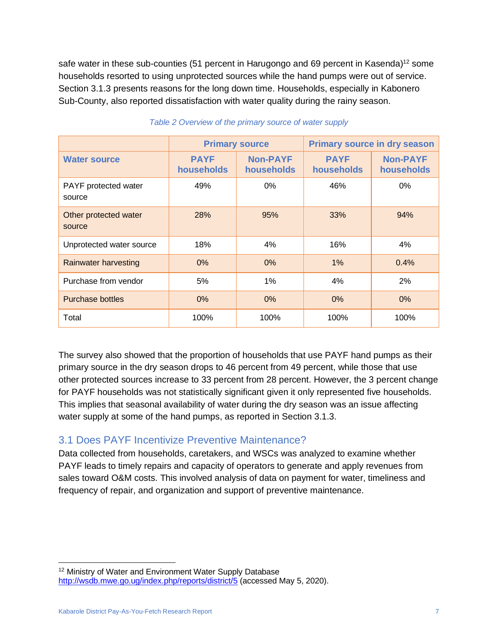safe water in these sub-counties (51 percent in Harugongo and 69 percent in Kasenda)<sup>12</sup> some households resorted to using unprotected sources while the hand pumps were out of service. Section 3.1.3 presents reasons for the long down time. Households, especially in Kabonero Sub-County, also reported dissatisfaction with water quality during the rainy season.

|                                 | <b>Primary source</b>     |                               | <b>Primary source in dry season</b> |                               |
|---------------------------------|---------------------------|-------------------------------|-------------------------------------|-------------------------------|
| <b>Water source</b>             | <b>PAYF</b><br>households | <b>Non-PAYF</b><br>households | <b>PAYF</b><br>households           | <b>Non-PAYF</b><br>households |
| PAYF protected water<br>source  | 49%                       | $0\%$                         | 46%                                 | $0\%$                         |
| Other protected water<br>source | 28%                       | 95%                           | 33%                                 | 94%                           |
| Unprotected water source        | 18%                       | 4%                            | 16%                                 | 4%                            |
| <b>Rainwater harvesting</b>     | 0%                        | 0%                            | $1\%$                               | 0.4%                          |
| Purchase from vendor            | 5%                        | 1%                            | 4%                                  | 2%                            |
| <b>Purchase bottles</b>         | 0%                        | 0%                            | 0%                                  | 0%                            |
| Total                           | 100%                      | 100%                          | 100%                                | 100%                          |

#### *Table 2 Overview of the primary source of water supply*

The survey also showed that the proportion of households that use PAYF hand pumps as their primary source in the dry season drops to 46 percent from 49 percent, while those that use other protected sources increase to 33 percent from 28 percent. However, the 3 percent change for PAYF households was not statistically significant given it only represented five households. This implies that seasonal availability of water during the dry season was an issue affecting water supply at some of the hand pumps, as reported in Section 3.1.3.

#### 3.1 Does PAYF Incentivize Preventive Maintenance?

Data collected from households, caretakers, and WSCs was analyzed to examine whether PAYF leads to timely repairs and capacity of operators to generate and apply revenues from sales toward O&M costs. This involved analysis of data on payment for water, timeliness and frequency of repair, and organization and support of preventive maintenance.

<sup>&</sup>lt;sup>12</sup> Ministry of Water and Environment Water Supply Database <http://wsdb.mwe.go.ug/index.php/reports/district/5> (accessed May 5, 2020).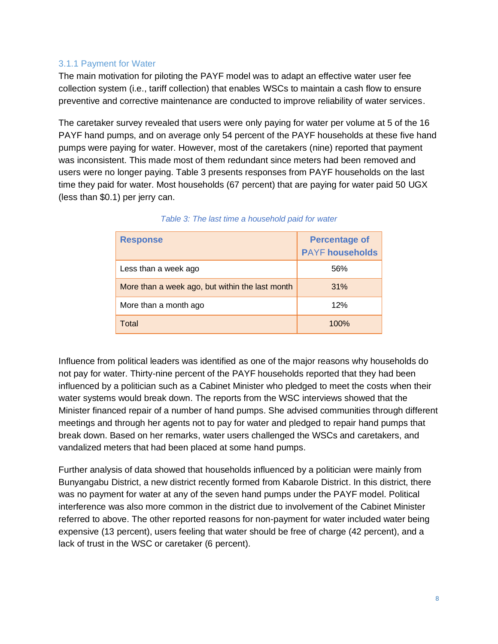#### 3.1.1 Payment for Water

The main motivation for piloting the PAYF model was to adapt an effective water user fee collection system (i.e., tariff collection) that enables WSCs to maintain a cash flow to ensure preventive and corrective maintenance are conducted to improve reliability of water services.

The caretaker survey revealed that users were only paying for water per volume at 5 of the 16 PAYF hand pumps, and on average only 54 percent of the PAYF households at these five hand pumps were paying for water. However, most of the caretakers (nine) reported that payment was inconsistent. This made most of them redundant since meters had been removed and users were no longer paying. Table 3 presents responses from PAYF households on the last time they paid for water. Most households (67 percent) that are paying for water paid 50 UGX (less than \$0.1) per jerry can.

| <b>Response</b>                                 | <b>Percentage of</b><br><b>PAYF households</b> |
|-------------------------------------------------|------------------------------------------------|
| Less than a week ago                            | 56%                                            |
| More than a week ago, but within the last month | 31%                                            |
| More than a month ago                           | 12%                                            |
| Total                                           | 100%                                           |

|  |  |  | Table 3: The last time a household paid for water |  |  |
|--|--|--|---------------------------------------------------|--|--|
|  |  |  |                                                   |  |  |

Influence from political leaders was identified as one of the major reasons why households do not pay for water. Thirty-nine percent of the PAYF households reported that they had been influenced by a politician such as a Cabinet Minister who pledged to meet the costs when their water systems would break down. The reports from the WSC interviews showed that the Minister financed repair of a number of hand pumps. She advised communities through different meetings and through her agents not to pay for water and pledged to repair hand pumps that break down. Based on her remarks, water users challenged the WSCs and caretakers, and vandalized meters that had been placed at some hand pumps.

Further analysis of data showed that households influenced by a politician were mainly from Bunyangabu District, a new district recently formed from Kabarole District. In this district, there was no payment for water at any of the seven hand pumps under the PAYF model. Political interference was also more common in the district due to involvement of the Cabinet Minister referred to above. The other reported reasons for non-payment for water included water being expensive (13 percent), users feeling that water should be free of charge (42 percent), and a lack of trust in the WSC or caretaker (6 percent).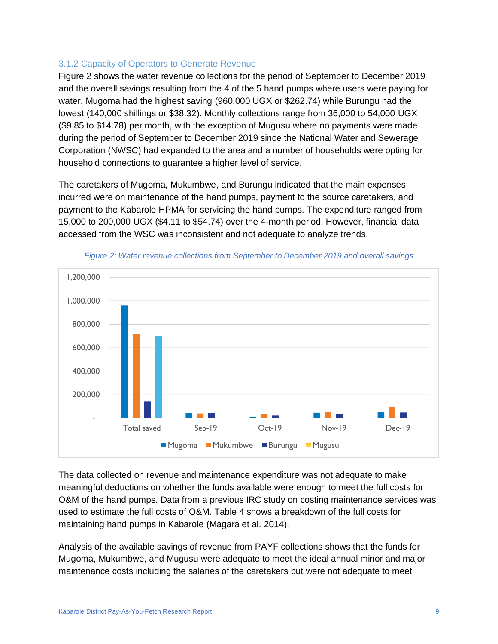#### 3.1.2 Capacity of Operators to Generate Revenue

Figure 2 shows the water revenue collections for the period of September to December 2019 and the overall savings resulting from the 4 of the 5 hand pumps where users were paying for water. Mugoma had the highest saving (960,000 UGX or \$262.74) while Burungu had the lowest (140,000 shillings or \$38.32). Monthly collections range from 36,000 to 54,000 UGX (\$9.85 to \$14.78) per month, with the exception of Mugusu where no payments were made during the period of September to December 2019 since the National Water and Sewerage Corporation (NWSC) had expanded to the area and a number of households were opting for household connections to guarantee a higher level of service.

The caretakers of Mugoma, Mukumbwe, and Burungu indicated that the main expenses incurred were on maintenance of the hand pumps, payment to the source caretakers, and payment to the Kabarole HPMA for servicing the hand pumps. The expenditure ranged from 15,000 to 200,000 UGX (\$4.11 to \$54.74) over the 4-month period. However, financial data accessed from the WSC was inconsistent and not adequate to analyze trends.





The data collected on revenue and maintenance expenditure was not adequate to make meaningful deductions on whether the funds available were enough to meet the full costs for O&M of the hand pumps. Data from a previous IRC study on costing maintenance services was used to estimate the full costs of O&M. Table 4 shows a breakdown of the full costs for maintaining hand pumps in Kabarole (Magara et al. 2014).

Analysis of the available savings of revenue from PAYF collections shows that the funds for Mugoma, Mukumbwe, and Mugusu were adequate to meet the ideal annual minor and major maintenance costs including the salaries of the caretakers but were not adequate to meet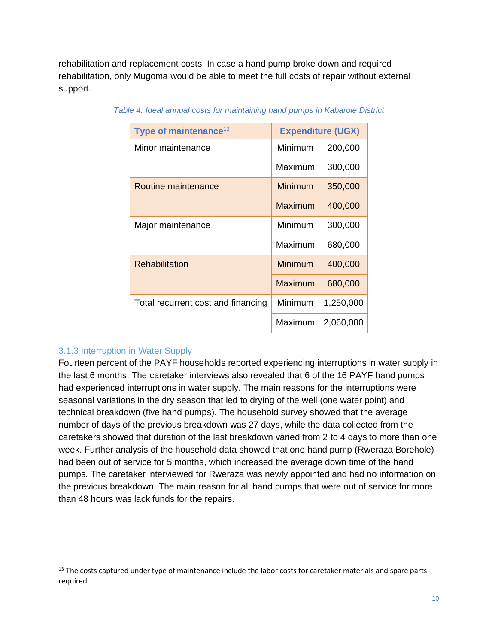rehabilitation and replacement costs. In case a hand pump broke down and required rehabilitation, only Mugoma would be able to meet the full costs of repair without external support.

| Type of maintenance <sup>13</sup>  |                | <b>Expenditure (UGX)</b> |
|------------------------------------|----------------|--------------------------|
| Minor maintenance                  | Minimum        | 200,000                  |
|                                    | Maximum        | 300,000                  |
| Routine maintenance                | <b>Minimum</b> | 350,000                  |
|                                    | Maximum        | 400,000                  |
| Major maintenance                  | Minimum        | 300,000                  |
|                                    | Maximum        | 680,000                  |
| Rehabilitation                     | Minimum        | 400,000                  |
|                                    | Maximum        | 680,000                  |
| Total recurrent cost and financing | Minimum        | 1,250,000                |
|                                    | Maximum        | 2,060,000                |

*Table 4: Ideal annual costs for maintaining hand pumps in Kabarole District*

#### 3.1.3 Interruption in Water Supply

Fourteen percent of the PAYF households reported experiencing interruptions in water supply in the last 6 months. The caretaker interviews also revealed that 6 of the 16 PAYF hand pumps had experienced interruptions in water supply. The main reasons for the interruptions were seasonal variations in the dry season that led to drying of the well (one water point) and technical breakdown (five hand pumps). The household survey showed that the average number of days of the previous breakdown was 27 days, while the data collected from the caretakers showed that duration of the last breakdown varied from 2 to 4 days to more than one week. Further analysis of the household data showed that one hand pump (Rweraza Borehole) had been out of service for 5 months, which increased the average down time of the hand pumps. The caretaker interviewed for Rweraza was newly appointed and had no information on the previous breakdown. The main reason for all hand pumps that were out of service for more than 48 hours was lack funds for the repairs.

<sup>&</sup>lt;sup>13</sup> The costs captured under type of maintenance include the labor costs for caretaker materials and spare parts required.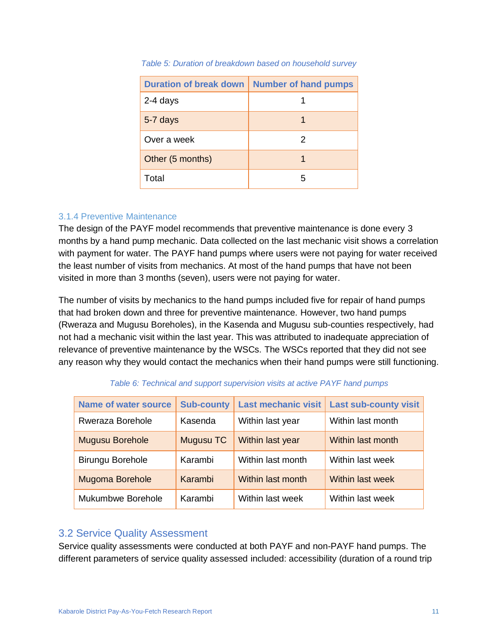| Duration of break down | <b>Number of hand pumps</b> |
|------------------------|-----------------------------|
| 2-4 days               |                             |
| 5-7 days               |                             |
| Over a week            | 2                           |
| Other (5 months)       |                             |
| Total                  | 5                           |

#### *Table 5: Duration of breakdown based on household survey*

#### 3.1.4 Preventive Maintenance

The design of the PAYF model recommends that preventive maintenance is done every 3 months by a hand pump mechanic. Data collected on the last mechanic visit shows a correlation with payment for water. The PAYF hand pumps where users were not paying for water received the least number of visits from mechanics. At most of the hand pumps that have not been visited in more than 3 months (seven), users were not paying for water.

The number of visits by mechanics to the hand pumps included five for repair of hand pumps that had broken down and three for preventive maintenance. However, two hand pumps (Rweraza and Mugusu Boreholes), in the Kasenda and Mugusu sub-counties respectively, had not had a mechanic visit within the last year. This was attributed to inadequate appreciation of relevance of preventive maintenance by the WSCs. The WSCs reported that they did not see any reason why they would contact the mechanics when their hand pumps were still functioning.

| <b>Name of water source</b> | <b>Sub-county</b> | <b>Last mechanic visit</b> | <b>Last sub-county visit</b> |
|-----------------------------|-------------------|----------------------------|------------------------------|
| Rweraza Borehole            | Kasenda           | Within last year           | Within last month            |
| <b>Mugusu Borehole</b>      | Mugusu TC         | Within last year           | <b>Within last month</b>     |
| <b>Birungu Borehole</b>     | Karambi           | Within last month          | Within last week             |
| Mugoma Borehole             | Karambi           | <b>Within last month</b>   | Within last week             |
| Mukumbwe Borehole           | Karambi           | Within last week           | Within last week             |

| Table 6: Technical and support supervision visits at active PAYF hand pumps |  |  |  |
|-----------------------------------------------------------------------------|--|--|--|
|                                                                             |  |  |  |

#### 3.2 Service Quality Assessment

Service quality assessments were conducted at both PAYF and non-PAYF hand pumps. The different parameters of service quality assessed included: accessibility (duration of a round trip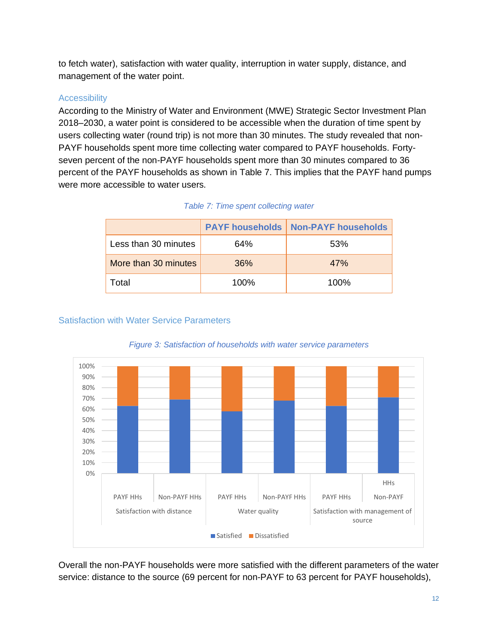to fetch water), satisfaction with water quality, interruption in water supply, distance, and management of the water point.

#### **Accessibility**

According to the Ministry of Water and Environment (MWE) Strategic Sector Investment Plan 2018–2030, a water point is considered to be accessible when the duration of time spent by users collecting water (round trip) is not more than 30 minutes. The study revealed that non-PAYF households spent more time collecting water compared to PAYF households. Fortyseven percent of the non-PAYF households spent more than 30 minutes compared to 36 percent of the PAYF households as shown in Table 7. This implies that the PAYF hand pumps were more accessible to water users.

|                      |      | <b>PAYF households   Non-PAYF households</b> |
|----------------------|------|----------------------------------------------|
| Less than 30 minutes | 64%  | 53%                                          |
| More than 30 minutes | 36%  | 47%                                          |
| Total                | 100% | $100\%$                                      |

#### *Table 7: Time spent collecting water*

#### Satisfaction with Water Service Parameters



#### *Figure 3: Satisfaction of households with water service parameters*

Overall the non-PAYF households were more satisfied with the different parameters of the water service: distance to the source (69 percent for non-PAYF to 63 percent for PAYF households),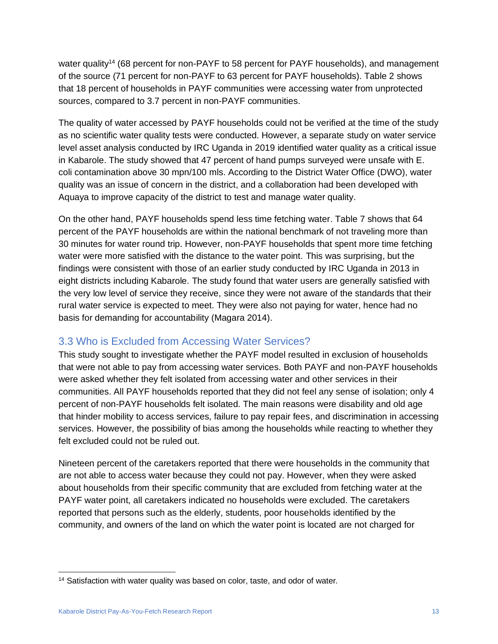water quality<sup>14</sup> (68 percent for non-PAYF to 58 percent for PAYF households), and management of the source (71 percent for non-PAYF to 63 percent for PAYF households). Table 2 shows that 18 percent of households in PAYF communities were accessing water from unprotected sources, compared to 3.7 percent in non-PAYF communities.

The quality of water accessed by PAYF households could not be verified at the time of the study as no scientific water quality tests were conducted. However, a separate study on water service level asset analysis conducted by IRC Uganda in 2019 identified water quality as a critical issue in Kabarole. The study showed that 47 percent of hand pumps surveyed were unsafe with E. coli contamination above 30 mpn/100 mls. According to the District Water Office (DWO), water quality was an issue of concern in the district, and a collaboration had been developed with Aquaya to improve capacity of the district to test and manage water quality.

On the other hand, PAYF households spend less time fetching water. Table 7 shows that 64 percent of the PAYF households are within the national benchmark of not traveling more than 30 minutes for water round trip. However, non-PAYF households that spent more time fetching water were more satisfied with the distance to the water point. This was surprising, but the findings were consistent with those of an earlier study conducted by IRC Uganda in 2013 in eight districts including Kabarole. The study found that water users are generally satisfied with the very low level of service they receive, since they were not aware of the standards that their rural water service is expected to meet. They were also not paying for water, hence had no basis for demanding for accountability (Magara 2014).

#### 3.3 Who is Excluded from Accessing Water Services?

This study sought to investigate whether the PAYF model resulted in exclusion of households that were not able to pay from accessing water services. Both PAYF and non-PAYF households were asked whether they felt isolated from accessing water and other services in their communities. All PAYF households reported that they did not feel any sense of isolation; only 4 percent of non-PAYF households felt isolated. The main reasons were disability and old age that hinder mobility to access services, failure to pay repair fees, and discrimination in accessing services. However, the possibility of bias among the households while reacting to whether they felt excluded could not be ruled out.

Nineteen percent of the caretakers reported that there were households in the community that are not able to access water because they could not pay. However, when they were asked about households from their specific community that are excluded from fetching water at the PAYF water point, all caretakers indicated no households were excluded. The caretakers reported that persons such as the elderly, students, poor households identified by the community, and owners of the land on which the water point is located are not charged for

<sup>&</sup>lt;sup>14</sup> Satisfaction with water quality was based on color, taste, and odor of water.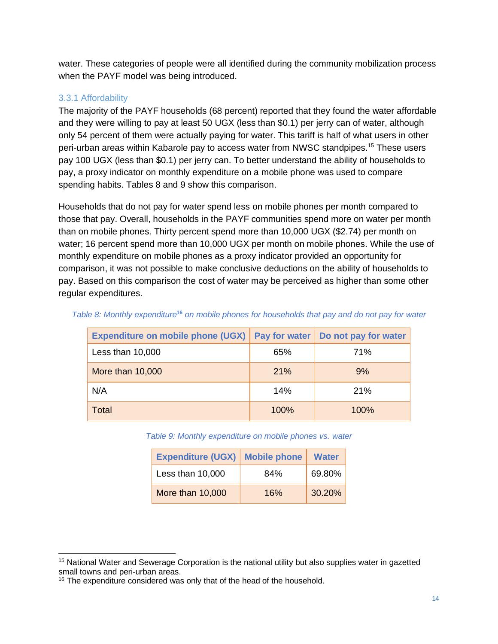water. These categories of people were all identified during the community mobilization process when the PAYF model was being introduced.

#### 3.3.1 Affordability

The majority of the PAYF households (68 percent) reported that they found the water affordable and they were willing to pay at least 50 UGX (less than \$0.1) per jerry can of water, although only 54 percent of them were actually paying for water. This tariff is half of what users in other peri-urban areas within Kabarole pay to access water from NWSC standpipes. <sup>15</sup> These users pay 100 UGX (less than \$0.1) per jerry can. To better understand the ability of households to pay, a proxy indicator on monthly expenditure on a mobile phone was used to compare spending habits. Tables 8 and 9 show this comparison.

Households that do not pay for water spend less on mobile phones per month compared to those that pay. Overall, households in the PAYF communities spend more on water per month than on mobile phones. Thirty percent spend more than 10,000 UGX (\$2.74) per month on water; 16 percent spend more than 10,000 UGX per month on mobile phones. While the use of monthly expenditure on mobile phones as a proxy indicator provided an opportunity for comparison, it was not possible to make conclusive deductions on the ability of households to pay. Based on this comparison the cost of water may be perceived as higher than some other regular expenditures.

| <b>Expenditure on mobile phone (UGX)</b> | Pay for water | Do not pay for water |
|------------------------------------------|---------------|----------------------|
| Less than 10,000                         | 65%           | 71%                  |
| More than 10,000                         | 21%           | 9%                   |
| N/A                                      | 14%           | 21%                  |
| <b>Total</b>                             | 100%          | $100\%$              |

*Table 8: Monthly expenditure***<sup>16</sup>** *on mobile phones for households that pay and do not pay for water*

*Table 9: Monthly expenditure on mobile phones vs. water*

| <b>Expenditure (UGX)</b> | <b>Mobile phone</b> | <b>Water</b> |
|--------------------------|---------------------|--------------|
| Less than 10,000         | 84%                 | 69.80%       |
| More than 10,000         | 16%                 | 30.20%       |

<sup>&</sup>lt;sup>15</sup> National Water and Sewerage Corporation is the national utility but also supplies water in gazetted small towns and peri-urban areas.

<sup>&</sup>lt;sup>16</sup> The expenditure considered was only that of the head of the household.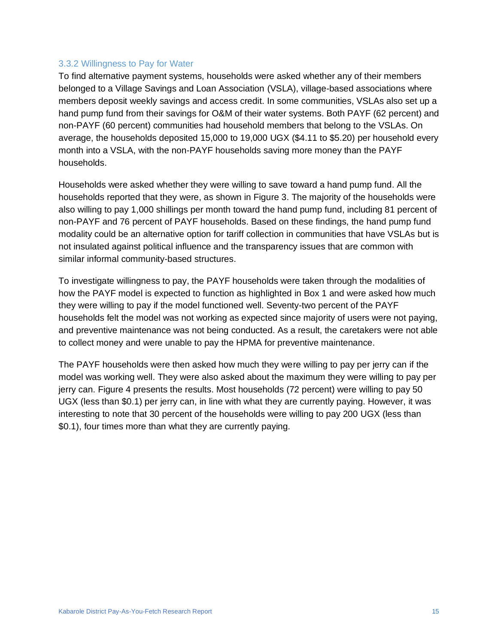#### 3.3.2 Willingness to Pay for Water

To find alternative payment systems, households were asked whether any of their members belonged to a Village Savings and Loan Association (VSLA), village-based associations where members deposit weekly savings and access credit. In some communities, VSLAs also set up a hand pump fund from their savings for O&M of their water systems. Both PAYF (62 percent) and non-PAYF (60 percent) communities had household members that belong to the VSLAs. On average, the households deposited 15,000 to 19,000 UGX (\$4.11 to \$5.20) per household every month into a VSLA, with the non-PAYF households saving more money than the PAYF households.

Households were asked whether they were willing to save toward a hand pump fund. All the households reported that they were, as shown in Figure 3. The majority of the households were also willing to pay 1,000 shillings per month toward the hand pump fund, including 81 percent of non-PAYF and 76 percent of PAYF households. Based on these findings, the hand pump fund modality could be an alternative option for tariff collection in communities that have VSLAs but is not insulated against political influence and the transparency issues that are common with similar informal community-based structures.

To investigate willingness to pay, the PAYF households were taken through the modalities of how the PAYF model is expected to function as highlighted in Box 1 and were asked how much they were willing to pay if the model functioned well. Seventy-two percent of the PAYF households felt the model was not working as expected since majority of users were not paying, and preventive maintenance was not being conducted. As a result, the caretakers were not able to collect money and were unable to pay the HPMA for preventive maintenance.

The PAYF households were then asked how much they were willing to pay per jerry can if the model was working well. They were also asked about the maximum they were willing to pay per jerry can. Figure 4 presents the results. Most households (72 percent) were willing to pay 50 UGX (less than \$0.1) per jerry can, in line with what they are currently paying. However, it was interesting to note that 30 percent of the households were willing to pay 200 UGX (less than \$0.1), four times more than what they are currently paying.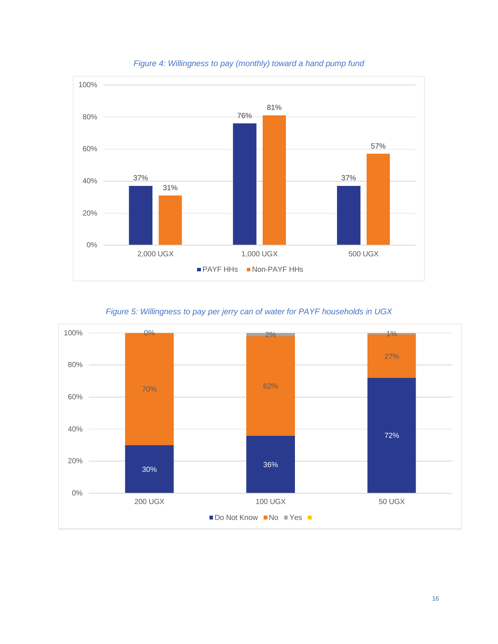

#### *Figure 4: Willingness to pay (monthly) toward a hand pump fund*

#### *Figure 5: Willingness to pay per jerry can of water for PAYF households in UGX*

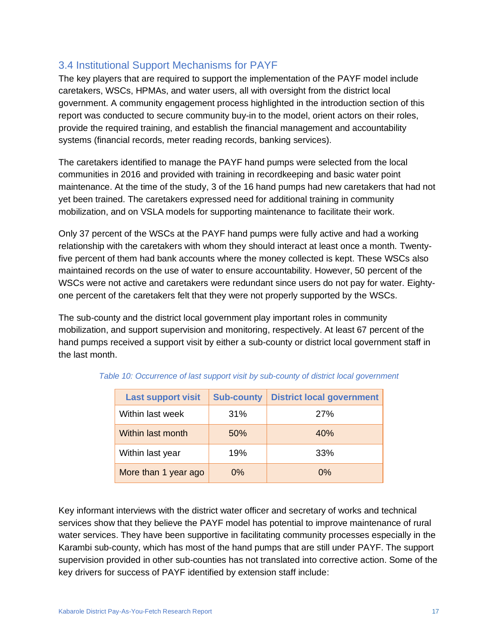#### 3.4 Institutional Support Mechanisms for PAYF

The key players that are required to support the implementation of the PAYF model include caretakers, WSCs, HPMAs, and water users, all with oversight from the district local government. A community engagement process highlighted in the introduction section of this report was conducted to secure community buy-in to the model, orient actors on their roles, provide the required training, and establish the financial management and accountability systems (financial records, meter reading records, banking services).

The caretakers identified to manage the PAYF hand pumps were selected from the local communities in 2016 and provided with training in recordkeeping and basic water point maintenance. At the time of the study, 3 of the 16 hand pumps had new caretakers that had not yet been trained. The caretakers expressed need for additional training in community mobilization, and on VSLA models for supporting maintenance to facilitate their work.

Only 37 percent of the WSCs at the PAYF hand pumps were fully active and had a working relationship with the caretakers with whom they should interact at least once a month. Twentyfive percent of them had bank accounts where the money collected is kept. These WSCs also maintained records on the use of water to ensure accountability. However, 50 percent of the WSCs were not active and caretakers were redundant since users do not pay for water. Eightyone percent of the caretakers felt that they were not properly supported by the WSCs.

The sub-county and the district local government play important roles in community mobilization, and support supervision and monitoring, respectively. At least 67 percent of the hand pumps received a support visit by either a sub-county or district local government staff in the last month.

| <b>Last support visit</b> | <b>Sub-county</b> | <b>District local government</b> |
|---------------------------|-------------------|----------------------------------|
| Within last week          | 31%               | 27%                              |
| Within last month         | 50%               | 40%                              |
| Within last year          | 19%               | 33%                              |
| More than 1 year ago      | $0\%$             | $0\%$                            |

|  |  |  |  |  | Table 10: Occurrence of last support visit by sub-county of district local government |
|--|--|--|--|--|---------------------------------------------------------------------------------------|
|--|--|--|--|--|---------------------------------------------------------------------------------------|

Key informant interviews with the district water officer and secretary of works and technical services show that they believe the PAYF model has potential to improve maintenance of rural water services. They have been supportive in facilitating community processes especially in the Karambi sub-county, which has most of the hand pumps that are still under PAYF. The support supervision provided in other sub-counties has not translated into corrective action. Some of the key drivers for success of PAYF identified by extension staff include: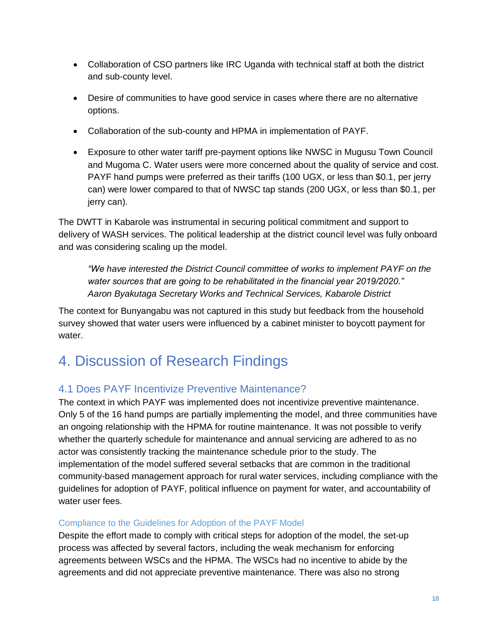- Collaboration of CSO partners like IRC Uganda with technical staff at both the district and sub-county level.
- Desire of communities to have good service in cases where there are no alternative options.
- Collaboration of the sub-county and HPMA in implementation of PAYF.
- Exposure to other water tariff pre-payment options like NWSC in Mugusu Town Council and Mugoma C. Water users were more concerned about the quality of service and cost. PAYF hand pumps were preferred as their tariffs (100 UGX, or less than \$0.1, per jerry can) were lower compared to that of NWSC tap stands (200 UGX, or less than \$0.1, per jerry can).

The DWTT in Kabarole was instrumental in securing political commitment and support to delivery of WASH services. The political leadership at the district council level was fully onboard and was considering scaling up the model.

*"We have interested the District Council committee of works to implement PAYF on the water sources that are going to be rehabilitated in the financial year 2019/2020." Aaron Byakutaga Secretary Works and Technical Services, Kabarole District*

The context for Bunyangabu was not captured in this study but feedback from the household survey showed that water users were influenced by a cabinet minister to boycott payment for water.

### 4. Discussion of Research Findings

#### 4.1 Does PAYF Incentivize Preventive Maintenance?

The context in which PAYF was implemented does not incentivize preventive maintenance. Only 5 of the 16 hand pumps are partially implementing the model, and three communities have an ongoing relationship with the HPMA for routine maintenance. It was not possible to verify whether the quarterly schedule for maintenance and annual servicing are adhered to as no actor was consistently tracking the maintenance schedule prior to the study. The implementation of the model suffered several setbacks that are common in the traditional community-based management approach for rural water services, including compliance with the guidelines for adoption of PAYF, political influence on payment for water, and accountability of water user fees.

#### Compliance to the Guidelines for Adoption of the PAYF Model

Despite the effort made to comply with critical steps for adoption of the model, the set-up process was affected by several factors, including the weak mechanism for enforcing agreements between WSCs and the HPMA. The WSCs had no incentive to abide by the agreements and did not appreciate preventive maintenance. There was also no strong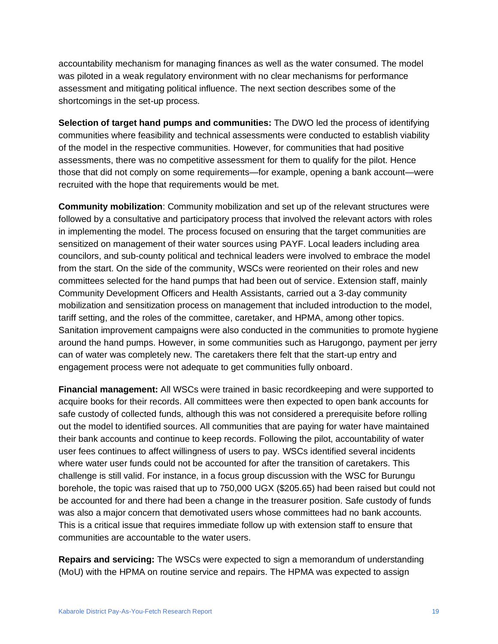accountability mechanism for managing finances as well as the water consumed. The model was piloted in a weak regulatory environment with no clear mechanisms for performance assessment and mitigating political influence. The next section describes some of the shortcomings in the set-up process.

**Selection of target hand pumps and communities:** The DWO led the process of identifying communities where feasibility and technical assessments were conducted to establish viability of the model in the respective communities. However, for communities that had positive assessments, there was no competitive assessment for them to qualify for the pilot. Hence those that did not comply on some requirements—for example, opening a bank account—were recruited with the hope that requirements would be met.

**Community mobilization**: Community mobilization and set up of the relevant structures were followed by a consultative and participatory process that involved the relevant actors with roles in implementing the model. The process focused on ensuring that the target communities are sensitized on management of their water sources using PAYF. Local leaders including area councilors, and sub-county political and technical leaders were involved to embrace the model from the start. On the side of the community, WSCs were reoriented on their roles and new committees selected for the hand pumps that had been out of service. Extension staff, mainly Community Development Officers and Health Assistants, carried out a 3-day community mobilization and sensitization process on management that included introduction to the model, tariff setting, and the roles of the committee, caretaker, and HPMA, among other topics. Sanitation improvement campaigns were also conducted in the communities to promote hygiene around the hand pumps. However, in some communities such as Harugongo, payment per jerry can of water was completely new. The caretakers there felt that the start-up entry and engagement process were not adequate to get communities fully onboard.

**Financial management:** All WSCs were trained in basic recordkeeping and were supported to acquire books for their records. All committees were then expected to open bank accounts for safe custody of collected funds, although this was not considered a prerequisite before rolling out the model to identified sources. All communities that are paying for water have maintained their bank accounts and continue to keep records. Following the pilot, accountability of water user fees continues to affect willingness of users to pay. WSCs identified several incidents where water user funds could not be accounted for after the transition of caretakers. This challenge is still valid. For instance, in a focus group discussion with the WSC for Burungu borehole, the topic was raised that up to 750,000 UGX (\$205.65) had been raised but could not be accounted for and there had been a change in the treasurer position. Safe custody of funds was also a major concern that demotivated users whose committees had no bank accounts. This is a critical issue that requires immediate follow up with extension staff to ensure that communities are accountable to the water users.

**Repairs and servicing:** The WSCs were expected to sign a memorandum of understanding (MoU) with the HPMA on routine service and repairs. The HPMA was expected to assign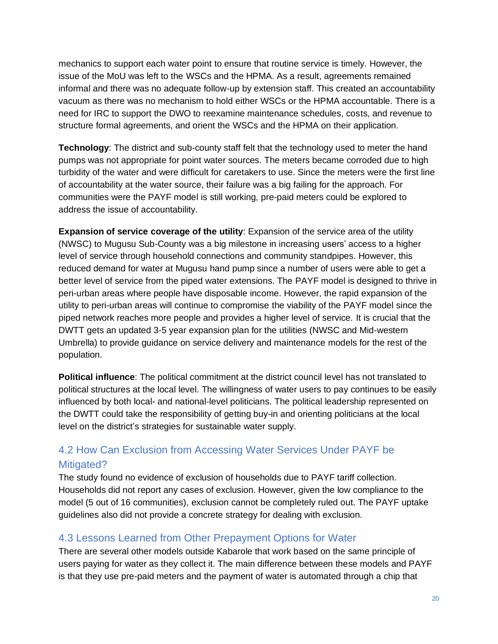mechanics to support each water point to ensure that routine service is timely. However, the issue of the MoU was left to the WSCs and the HPMA. As a result, agreements remained informal and there was no adequate follow-up by extension staff. This created an accountability vacuum as there was no mechanism to hold either WSCs or the HPMA accountable. There is a need for IRC to support the DWO to reexamine maintenance schedules, costs, and revenue to structure formal agreements, and orient the WSCs and the HPMA on their application.

**Technology**: The district and sub-county staff felt that the technology used to meter the hand pumps was not appropriate for point water sources. The meters became corroded due to high turbidity of the water and were difficult for caretakers to use. Since the meters were the first line of accountability at the water source, their failure was a big failing for the approach. For communities were the PAYF model is still working, pre-paid meters could be explored to address the issue of accountability.

**Expansion of service coverage of the utility**: Expansion of the service area of the utility (NWSC) to Mugusu Sub-County was a big milestone in increasing users' access to a higher level of service through household connections and community standpipes. However, this reduced demand for water at Mugusu hand pump since a number of users were able to get a better level of service from the piped water extensions. The PAYF model is designed to thrive in peri-urban areas where people have disposable income. However, the rapid expansion of the utility to peri-urban areas will continue to compromise the viability of the PAYF model since the piped network reaches more people and provides a higher level of service. It is crucial that the DWTT gets an updated 3-5 year expansion plan for the utilities (NWSC and Mid-western Umbrella) to provide guidance on service delivery and maintenance models for the rest of the population.

**Political influence**: The political commitment at the district council level has not translated to political structures at the local level. The willingness of water users to pay continues to be easily influenced by both local- and national-level politicians. The political leadership represented on the DWTT could take the responsibility of getting buy-in and orienting politicians at the local level on the district's strategies for sustainable water supply.

#### 4.2 How Can Exclusion from Accessing Water Services Under PAYF be Mitigated?

The study found no evidence of exclusion of households due to PAYF tariff collection. Households did not report any cases of exclusion. However, given the low compliance to the model (5 out of 16 communities), exclusion cannot be completely ruled out. The PAYF uptake guidelines also did not provide a concrete strategy for dealing with exclusion.

#### 4.3 Lessons Learned from Other Prepayment Options for Water

There are several other models outside Kabarole that work based on the same principle of users paying for water as they collect it. The main difference between these models and PAYF is that they use pre-paid meters and the payment of water is automated through a chip that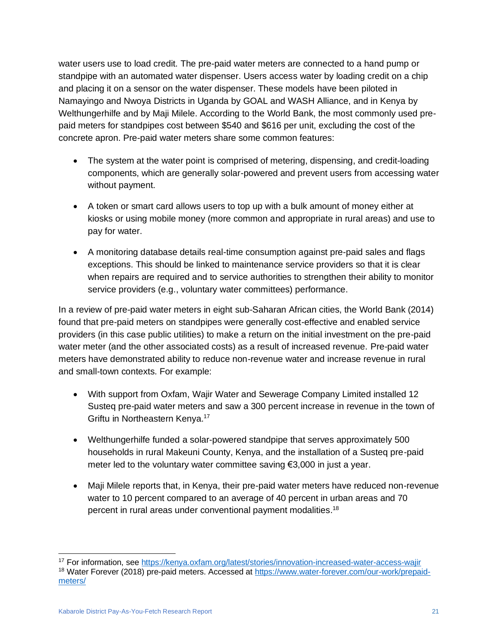water users use to load credit. The pre-paid water meters are connected to a hand pump or standpipe with an automated water dispenser. Users access water by loading credit on a chip and placing it on a sensor on the water dispenser. These models have been piloted in Namayingo and Nwoya Districts in Uganda by GOAL and WASH Alliance, and in Kenya by Welthungerhilfe and by Maji Milele. According to the World Bank, the most commonly used prepaid meters for standpipes cost between \$540 and \$616 per unit, excluding the cost of the concrete apron. Pre-paid water meters share some common features:

- The system at the water point is comprised of metering, dispensing, and credit-loading components, which are generally solar-powered and prevent users from accessing water without payment.
- A token or smart card allows users to top up with a bulk amount of money either at kiosks or using mobile money (more common and appropriate in rural areas) and use to pay for water.
- A monitoring database details real-time consumption against pre-paid sales and flags exceptions. This should be linked to maintenance service providers so that it is clear when repairs are required and to service authorities to strengthen their ability to monitor service providers (e.g., voluntary water committees) performance.

In a review of pre-paid water meters in eight sub-Saharan African cities, the World Bank (2014) found that pre-paid meters on standpipes were generally cost-effective and enabled service providers (in this case public utilities) to make a return on the initial investment on the pre-paid water meter (and the other associated costs) as a result of increased revenue. Pre-paid water meters have demonstrated ability to reduce non-revenue water and increase revenue in rural and small-town contexts. For example:

- With support from Oxfam, Wajir Water and Sewerage Company Limited installed 12 Susteq pre-paid water meters and saw a 300 percent increase in revenue in the town of Griftu in Northeastern Kenya. 17
- Welthungerhilfe funded a solar-powered standpipe that serves approximately 500 households in rural Makeuni County, Kenya, and the installation of a Susteq pre-paid meter led to the voluntary water committee saving €3,000 in just a year.
- Maji Milele reports that, in Kenya, their pre-paid water meters have reduced non-revenue water to 10 percent compared to an average of 40 percent in urban areas and 70 percent in rural areas under conventional payment modalities.<sup>18</sup>

<sup>17</sup> For information, se[e https://kenya.oxfam.org/latest/stories/innovation-increased-water-access-wajir](https://kenya.oxfam.org/latest/stories/innovation-increased-water-access-wajir) <sup>18</sup> Water Forever (2018) pre-paid meters. Accessed at [https://www.water-forever.com/our-work/prepaid](https://www.water-forever.com/our-work/prepaid-meters/)[meters/](https://www.water-forever.com/our-work/prepaid-meters/)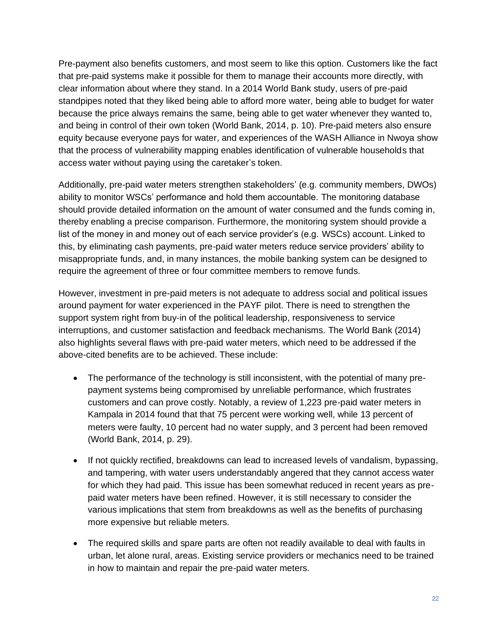Pre-payment also benefits customers, and most seem to like this option. Customers like the fact that pre-paid systems make it possible for them to manage their accounts more directly, with clear information about where they stand. In a 2014 World Bank study, users of pre-paid standpipes noted that they liked being able to afford more water, being able to budget for water because the price always remains the same, being able to get water whenever they wanted to, and being in control of their own token (World Bank, 2014, p. 10). Pre-paid meters also ensure equity because everyone pays for water, and experiences of the WASH Alliance in Nwoya show that the process of vulnerability mapping enables identification of vulnerable households that access water without paying using the caretaker's token.

Additionally, pre-paid water meters strengthen stakeholders' (e.g. community members, DWOs) ability to monitor WSCs' performance and hold them accountable. The monitoring database should provide detailed information on the amount of water consumed and the funds coming in, thereby enabling a precise comparison. Furthermore, the monitoring system should provide a list of the money in and money out of each service provider's (e.g. WSCs) account. Linked to this, by eliminating cash payments, pre-paid water meters reduce service providers' ability to misappropriate funds, and, in many instances, the mobile banking system can be designed to require the agreement of three or four committee members to remove funds.

However, investment in pre-paid meters is not adequate to address social and political issues around payment for water experienced in the PAYF pilot. There is need to strengthen the support system right from buy-in of the political leadership, responsiveness to service interruptions, and customer satisfaction and feedback mechanisms. The World Bank (2014) also highlights several flaws with pre-paid water meters, which need to be addressed if the above-cited benefits are to be achieved. These include:

- The performance of the technology is still inconsistent, with the potential of many prepayment systems being compromised by unreliable performance, which frustrates customers and can prove costly. Notably, a review of 1,223 pre-paid water meters in Kampala in 2014 found that that 75 percent were working well, while 13 percent of meters were faulty, 10 percent had no water supply, and 3 percent had been removed (World Bank, 2014, p. 29).
- If not quickly rectified, breakdowns can lead to increased levels of vandalism, bypassing, and tampering, with water users understandably angered that they cannot access water for which they had paid. This issue has been somewhat reduced in recent years as prepaid water meters have been refined. However, it is still necessary to consider the various implications that stem from breakdowns as well as the benefits of purchasing more expensive but reliable meters.
- The required skills and spare parts are often not readily available to deal with faults in urban, let alone rural, areas. Existing service providers or mechanics need to be trained in how to maintain and repair the pre-paid water meters.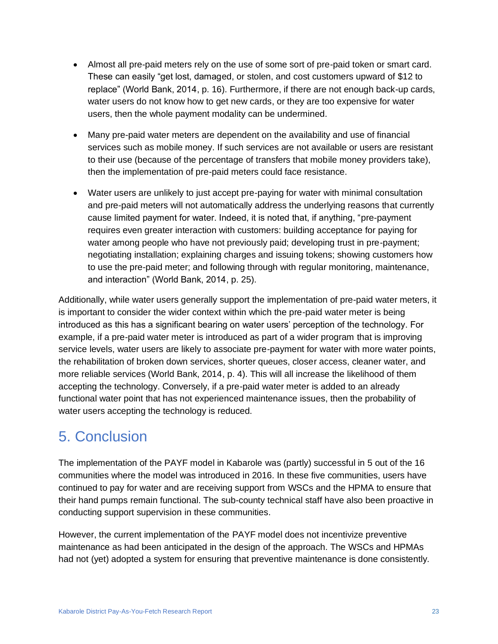- Almost all pre-paid meters rely on the use of some sort of pre-paid token or smart card. These can easily "get lost, damaged, or stolen, and cost customers upward of \$12 to replace" (World Bank, 2014, p. 16). Furthermore, if there are not enough back-up cards, water users do not know how to get new cards, or they are too expensive for water users, then the whole payment modality can be undermined.
- Many pre-paid water meters are dependent on the availability and use of financial services such as mobile money. If such services are not available or users are resistant to their use (because of the percentage of transfers that mobile money providers take), then the implementation of pre-paid meters could face resistance.
- Water users are unlikely to just accept pre-paying for water with minimal consultation and pre-paid meters will not automatically address the underlying reasons that currently cause limited payment for water. Indeed, it is noted that, if anything, "pre-payment requires even greater interaction with customers: building acceptance for paying for water among people who have not previously paid; developing trust in pre-payment; negotiating installation; explaining charges and issuing tokens; showing customers how to use the pre-paid meter; and following through with regular monitoring, maintenance, and interaction" (World Bank, 2014, p. 25).

Additionally, while water users generally support the implementation of pre-paid water meters, it is important to consider the wider context within which the pre-paid water meter is being introduced as this has a significant bearing on water users' perception of the technology. For example, if a pre-paid water meter is introduced as part of a wider program that is improving service levels, water users are likely to associate pre-payment for water with more water points, the rehabilitation of broken down services, shorter queues, closer access, cleaner water, and more reliable services (World Bank, 2014, p. 4). This will all increase the likelihood of them accepting the technology. Conversely, if a pre-paid water meter is added to an already functional water point that has not experienced maintenance issues, then the probability of water users accepting the technology is reduced.

### 5. Conclusion

The implementation of the PAYF model in Kabarole was (partly) successful in 5 out of the 16 communities where the model was introduced in 2016. In these five communities, users have continued to pay for water and are receiving support from WSCs and the HPMA to ensure that their hand pumps remain functional. The sub-county technical staff have also been proactive in conducting support supervision in these communities.

However, the current implementation of the PAYF model does not incentivize preventive maintenance as had been anticipated in the design of the approach. The WSCs and HPMAs had not (yet) adopted a system for ensuring that preventive maintenance is done consistently.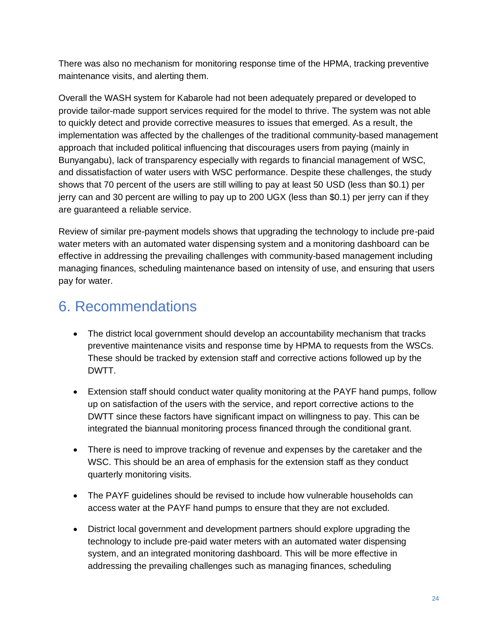There was also no mechanism for monitoring response time of the HPMA, tracking preventive maintenance visits, and alerting them.

Overall the WASH system for Kabarole had not been adequately prepared or developed to provide tailor-made support services required for the model to thrive. The system was not able to quickly detect and provide corrective measures to issues that emerged. As a result, the implementation was affected by the challenges of the traditional community-based management approach that included political influencing that discourages users from paying (mainly in Bunyangabu), lack of transparency especially with regards to financial management of WSC, and dissatisfaction of water users with WSC performance. Despite these challenges, the study shows that 70 percent of the users are still willing to pay at least 50 USD (less than \$0.1) per jerry can and 30 percent are willing to pay up to 200 UGX (less than \$0.1) per jerry can if they are guaranteed a reliable service.

Review of similar pre-payment models shows that upgrading the technology to include pre-paid water meters with an automated water dispensing system and a monitoring dashboard can be effective in addressing the prevailing challenges with community-based management including managing finances, scheduling maintenance based on intensity of use, and ensuring that users pay for water.

### 6. Recommendations

- The district local government should develop an accountability mechanism that tracks preventive maintenance visits and response time by HPMA to requests from the WSCs. These should be tracked by extension staff and corrective actions followed up by the DWTT.
- Extension staff should conduct water quality monitoring at the PAYF hand pumps, follow up on satisfaction of the users with the service, and report corrective actions to the DWTT since these factors have significant impact on willingness to pay. This can be integrated the biannual monitoring process financed through the conditional grant.
- There is need to improve tracking of revenue and expenses by the caretaker and the WSC. This should be an area of emphasis for the extension staff as they conduct quarterly monitoring visits.
- The PAYF guidelines should be revised to include how vulnerable households can access water at the PAYF hand pumps to ensure that they are not excluded.
- District local government and development partners should explore upgrading the technology to include pre-paid water meters with an automated water dispensing system, and an integrated monitoring dashboard. This will be more effective in addressing the prevailing challenges such as managing finances, scheduling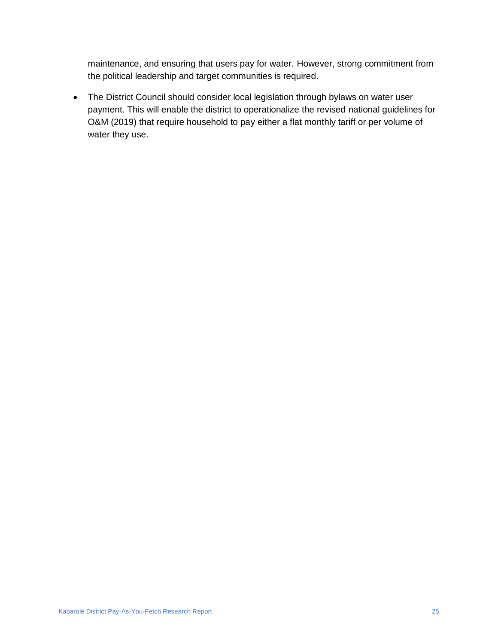maintenance, and ensuring that users pay for water. However, strong commitment from the political leadership and target communities is required.

• The District Council should consider local legislation through bylaws on water user payment. This will enable the district to operationalize the revised national guidelines for O&M (2019) that require household to pay either a flat monthly tariff or per volume of water they use.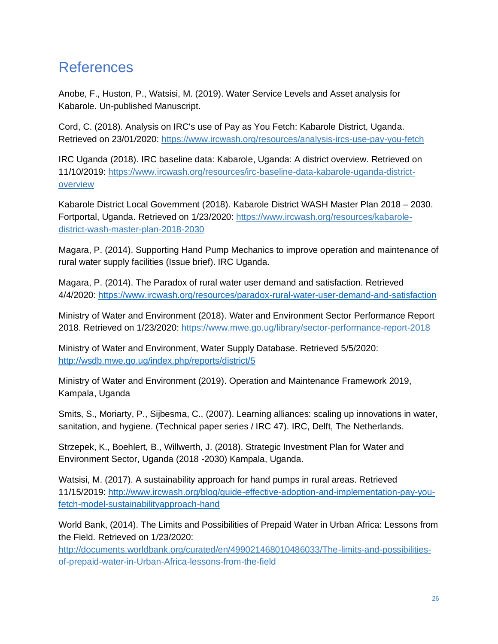### References

Anobe, F., Huston, P., Watsisi, M. (2019). Water Service Levels and Asset analysis for Kabarole. Un-published Manuscript.

Cord, C. (2018). Analysis on IRC's use of Pay as You Fetch: Kabarole District, Uganda. Retrieved on 23/01/2020:<https://www.ircwash.org/resources/analysis-ircs-use-pay-you-fetch>

IRC Uganda (2018). IRC baseline data: Kabarole, Uganda: A district overview. Retrieved on 11/10/2019: [https://www.ircwash.org/resources/irc-baseline-data-kabarole-uganda-district](https://www.ircwash.org/resources/irc-baseline-data-kabarole-uganda-district-overview)[overview](https://www.ircwash.org/resources/irc-baseline-data-kabarole-uganda-district-overview)

Kabarole District Local Government (2018). Kabarole District WASH Master Plan 2018 – 2030. Fortportal, Uganda. Retrieved on 1/23/2020: [https://www.ircwash.org/resources/kabarole](https://www.ircwash.org/resources/kabarole-district-wash-master-plan-2018-2030)[district-wash-master-plan-2018-2030](https://www.ircwash.org/resources/kabarole-district-wash-master-plan-2018-2030)

Magara, P. (2014). Supporting Hand Pump Mechanics to improve operation and maintenance of rural water supply facilities (Issue brief). IRC Uganda.

Magara, P. (2014). The Paradox of rural water user demand and satisfaction. Retrieved 4/4/2020:<https://www.ircwash.org/resources/paradox-rural-water-user-demand-and-satisfaction>

Ministry of Water and Environment (2018). Water and Environment Sector Performance Report 2018. Retrieved on 1/23/2020:<https://www.mwe.go.ug/library/sector-performance-report-2018>

Ministry of Water and Environment, Water Supply Database. Retrieved 5/5/2020: <http://wsdb.mwe.go.ug/index.php/reports/district/5>

Ministry of Water and Environment (2019). Operation and Maintenance Framework 2019, Kampala, Uganda

Smits, S., Moriarty, P., Sijbesma, C., (2007). Learning alliances: scaling up innovations in water, sanitation, and hygiene. (Technical paper series / IRC 47). IRC, Delft, The Netherlands.

Strzepek, K., Boehlert, B., Willwerth, J. (2018). Strategic Investment Plan for Water and Environment Sector, Uganda (2018 -2030) Kampala, Uganda.

Watsisi, M. (2017). A sustainability approach for hand pumps in rural areas. Retrieved 11/15/2019: [http://www.ircwash.org/blog/guide-effective-adoption-and-implementation-pay-you](http://www.ircwash.org/blog/guide-effective-adoption-and-implementation-pay-you-fetch-model-sustainabilityapproach-hand)[fetch-model-sustainabilityapproach-hand](http://www.ircwash.org/blog/guide-effective-adoption-and-implementation-pay-you-fetch-model-sustainabilityapproach-hand)

World Bank, (2014). The Limits and Possibilities of Prepaid Water in Urban Africa: Lessons from the Field. Retrieved on 1/23/2020:

[http://documents.worldbank.org/curated/en/499021468010486033/The-limits-and-possibilities](http://documents.worldbank.org/curated/en/499021468010486033/The-limits-and-possibilities-of-prepaid-water-in-Urban-Africa-lessons-from-the-field)[of-prepaid-water-in-Urban-Africa-lessons-from-the-field](http://documents.worldbank.org/curated/en/499021468010486033/The-limits-and-possibilities-of-prepaid-water-in-Urban-Africa-lessons-from-the-field)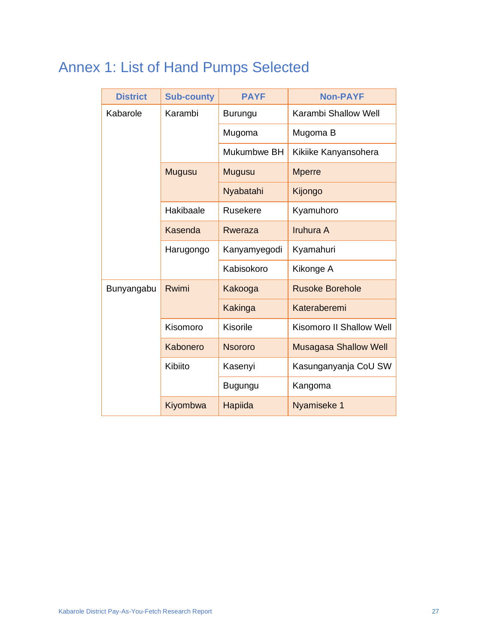# Annex 1: List of Hand Pumps Selected

| <b>District</b> | <b>Sub-county</b> | <b>PAYF</b>     | <b>Non-PAYF</b>                 |
|-----------------|-------------------|-----------------|---------------------------------|
| Kabarole        | Karambi           | <b>Burungu</b>  | Karambi Shallow Well            |
|                 |                   | Mugoma          | Mugoma B                        |
|                 |                   | Mukumbwe BH     | Kikiike Kanyansohera            |
|                 | <b>Mugusu</b>     | <b>Mugusu</b>   | <b>Mperre</b>                   |
|                 |                   | Nyabatahi       | Kijongo                         |
|                 | Hakibaale         | <b>Rusekere</b> | Kyamuhoro                       |
|                 | Kasenda           | Rweraza         | Iruhura A                       |
|                 | Harugongo         | Kanyamyegodi    | Kyamahuri                       |
|                 |                   | Kabisokoro      | Kikonge A                       |
| Bunyangabu      | Rwimi             | Kakooga         | <b>Rusoke Borehole</b>          |
|                 |                   | Kakinga         | Kateraberemi                    |
|                 | Kisomoro          | Kisorile        | <b>Kisomoro II Shallow Well</b> |
|                 | Kabonero          | <b>Nsororo</b>  | <b>Musagasa Shallow Well</b>    |
|                 | Kibiito           | Kasenyi         | Kasunganyanja CoU SW            |
|                 |                   | Bugungu         | Kangoma                         |
|                 | Kiyombwa          | Hapiida         | Nyamiseke 1                     |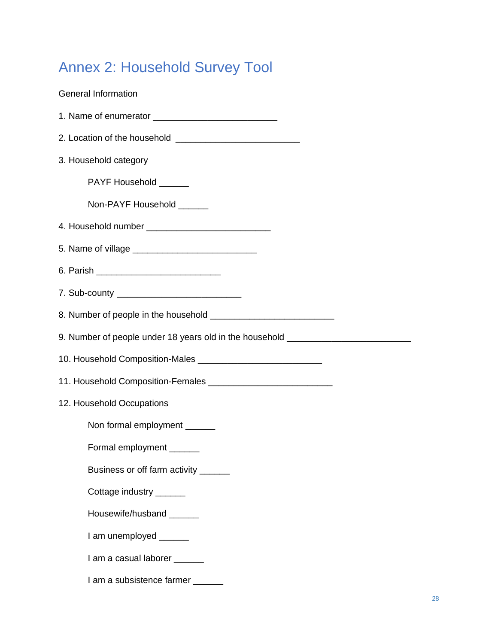# Annex 2: Household Survey Tool

| <b>General Information</b>                                                       |  |
|----------------------------------------------------------------------------------|--|
|                                                                                  |  |
|                                                                                  |  |
| 3. Household category                                                            |  |
| PAYF Household ______                                                            |  |
| Non-PAYF Household ______                                                        |  |
| 4. Household number __________________________________                           |  |
|                                                                                  |  |
|                                                                                  |  |
|                                                                                  |  |
|                                                                                  |  |
| 9. Number of people under 18 years old in the household ________________________ |  |
|                                                                                  |  |
|                                                                                  |  |
| 12. Household Occupations                                                        |  |
| Non formal employment _____                                                      |  |
| Formal employment ______                                                         |  |
| Business or off farm activity ______                                             |  |
| Cottage industry _____                                                           |  |
| Housewife/husband                                                                |  |
| I am unemployed _____                                                            |  |
| I am a casual laborer ______                                                     |  |
| I am a subsistence farmer                                                        |  |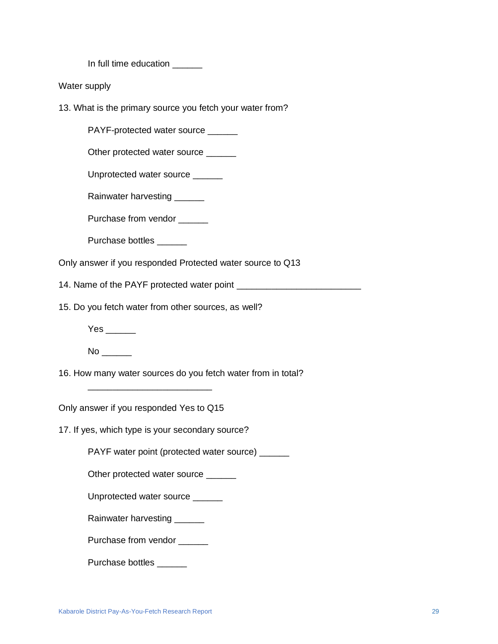In full time education

Water supply

13. What is the primary source you fetch your water from?

PAYF-protected water source \_\_\_\_\_\_

Other protected water source

Unprotected water source \_\_\_\_\_\_

Rainwater harvesting \_\_\_\_\_

Purchase from vendor \_\_\_\_\_\_

Purchase bottles \_\_\_\_\_\_

Only answer if you responded Protected water source to Q13

14. Name of the PAYF protected water point \_\_\_\_\_\_\_\_\_\_

15. Do you fetch water from other sources, as well?

Yes \_\_\_\_\_\_\_

No \_\_\_\_\_\_

16. How many water sources do you fetch water from in total?

Only answer if you responded Yes to Q15

\_\_\_\_\_\_\_\_\_\_\_\_\_\_\_\_\_\_\_\_\_\_\_\_\_

17. If yes, which type is your secondary source?

PAYF water point (protected water source) \_\_\_\_\_\_

Other protected water source \_\_\_\_\_\_

Unprotected water source \_\_\_\_\_\_

Rainwater harvesting \_\_\_\_\_

Purchase from vendor \_\_\_\_\_

Purchase bottles \_\_\_\_\_\_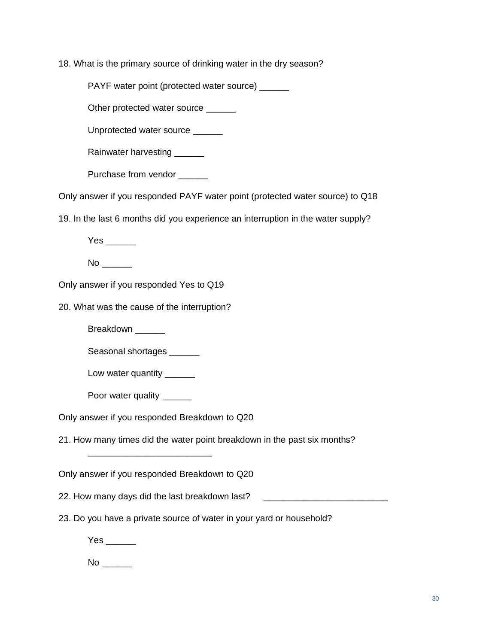18. What is the primary source of drinking water in the dry season?

PAYF water point (protected water source) \_\_\_\_\_

Other protected water source \_\_\_\_\_

Unprotected water source \_\_\_\_\_\_

Rainwater harvesting

Purchase from vendor \_\_\_\_\_

Only answer if you responded PAYF water point (protected water source) to Q18

19. In the last 6 months did you experience an interruption in the water supply?

Yes \_\_\_\_\_\_\_

 $No$   $\qquad$ 

Only answer if you responded Yes to Q19

20. What was the cause of the interruption?

Breakdown \_\_\_\_\_\_

Seasonal shortages \_\_\_\_\_\_

Low water quantity \_\_\_\_\_\_

Poor water quality \_\_\_\_\_\_

Only answer if you responded Breakdown to Q20

21. How many times did the water point breakdown in the past six months?

Only answer if you responded Breakdown to Q20

\_\_\_\_\_\_\_\_\_\_\_\_\_\_\_\_\_\_\_\_\_\_\_\_\_

22. How many days did the last breakdown last? \_\_\_\_\_\_\_\_\_\_\_\_\_\_\_\_\_\_\_\_\_\_\_\_\_\_\_\_\_\_\_\_\_

23. Do you have a private source of water in your yard or household?

Yes \_\_\_\_\_\_

 $No$   $\_\_$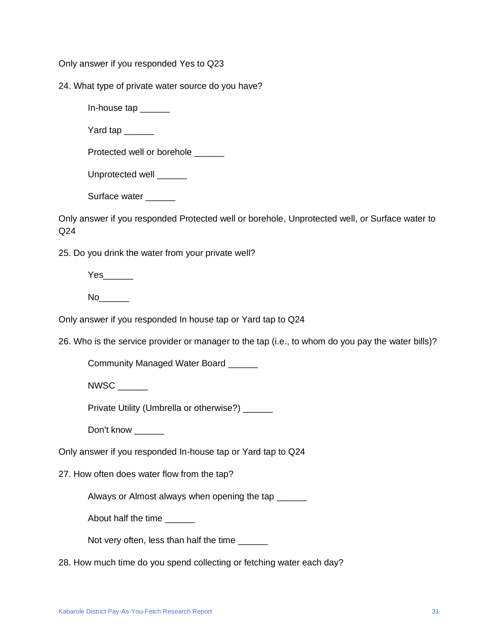Only answer if you responded Yes to Q23

24. What type of private water source do you have?

In-house tap

Yard tap

Protected well or borehole

Unprotected well \_\_\_\_\_\_

Surface water \_\_\_\_\_

Only answer if you responded Protected well or borehole, Unprotected well, or Surface water to Q24

25. Do you drink the water from your private well?

Yes\_\_\_\_\_\_\_

 $No$ 

Only answer if you responded In house tap or Yard tap to Q24

26. Who is the service provider or manager to the tap (i.e., to whom do you pay the water bills)?

Community Managed Water Board \_\_\_\_\_\_

NWSC  $\qquad \qquad$ 

Private Utility (Umbrella or otherwise?)

Don't know

Only answer if you responded In-house tap or Yard tap to Q24

27. How often does water flow from the tap?

Always or Almost always when opening the tap \_\_\_\_\_\_

About half the time \_\_\_\_\_\_

Not very often, less than half the time \_\_\_\_\_\_

28. How much time do you spend collecting or fetching water each day?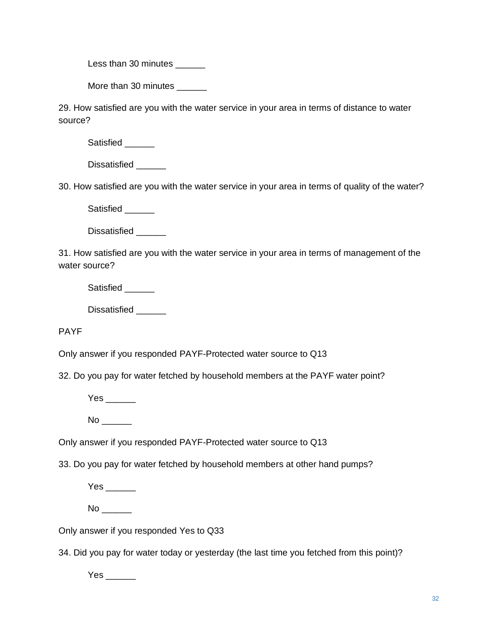Less than 30 minutes

More than 30 minutes \_\_\_\_\_\_

29. How satisfied are you with the water service in your area in terms of distance to water source?

Satisfied \_\_\_\_\_\_

Dissatisfied **Lation** 

30. How satisfied are you with the water service in your area in terms of quality of the water?

Satisfied \_\_\_\_\_\_

Dissatisfied **Latings** 

31. How satisfied are you with the water service in your area in terms of management of the water source?

Satisfied \_\_\_\_\_

Dissatisfied

PAYF

Only answer if you responded PAYF-Protected water source to Q13

32. Do you pay for water fetched by household members at the PAYF water point?

Yes \_\_\_\_\_\_\_

No \_\_\_\_\_\_

Only answer if you responded PAYF-Protected water source to Q13

33. Do you pay for water fetched by household members at other hand pumps?

Yes \_\_\_\_\_\_

No \_\_\_\_\_\_

Only answer if you responded Yes to Q33

34. Did you pay for water today or yesterday (the last time you fetched from this point)?

Yes \_\_\_\_\_\_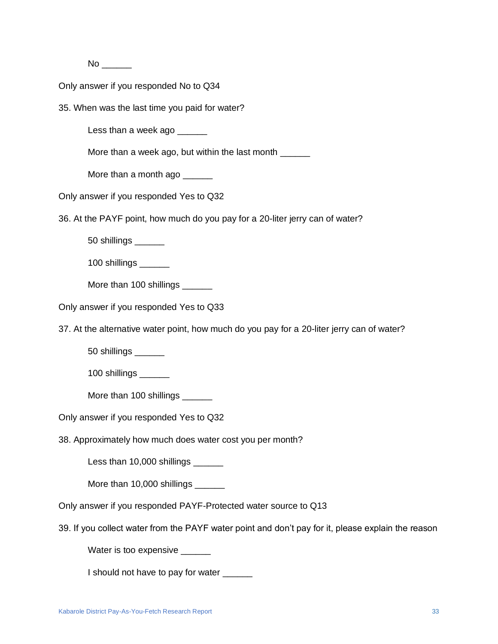No \_\_\_\_\_\_

Only answer if you responded No to Q34

35. When was the last time you paid for water?

Less than a week ago \_\_\_\_\_\_

More than a week ago, but within the last month \_\_\_\_\_

More than a month ago \_\_\_\_\_\_

Only answer if you responded Yes to Q32

36. At the PAYF point, how much do you pay for a 20-liter jerry can of water?

50 shillings \_\_\_\_\_\_

100 shillings \_\_\_\_\_\_

More than 100 shillings \_\_\_\_\_\_

Only answer if you responded Yes to Q33

37. At the alternative water point, how much do you pay for a 20-liter jerry can of water?

50 shillings \_\_\_\_\_\_

100 shillings \_\_\_\_\_\_

More than 100 shillings \_\_\_\_\_\_

Only answer if you responded Yes to Q32

38. Approximately how much does water cost you per month?

Less than 10,000 shillings \_\_\_\_\_

More than 10,000 shillings \_\_\_\_\_\_

Only answer if you responded PAYF-Protected water source to Q13

39. If you collect water from the PAYF water point and don't pay for it, please explain the reason

Water is too expensive \_\_\_\_\_

I should not have to pay for water \_\_\_\_\_\_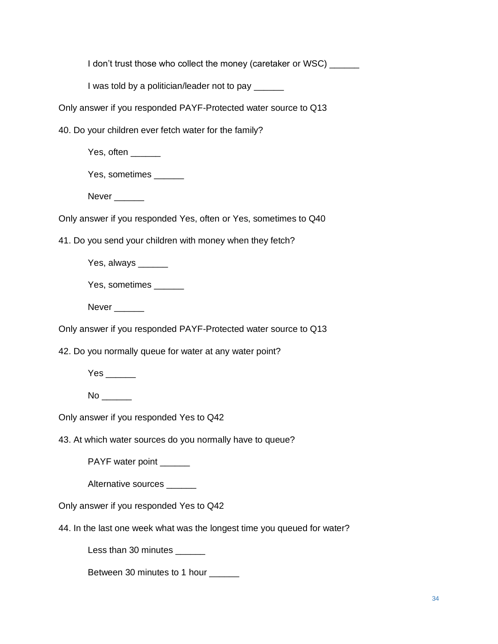I don't trust those who collect the money (caretaker or WSC)

I was told by a politician/leader not to pay \_\_\_\_\_\_

Only answer if you responded PAYF-Protected water source to Q13

40. Do your children ever fetch water for the family?

Yes, often

Yes, sometimes \_\_\_\_\_\_

Never \_\_\_\_\_\_\_

Only answer if you responded Yes, often or Yes, sometimes to Q40

41. Do you send your children with money when they fetch?

Yes, always \_\_\_\_\_\_

Yes, sometimes \_\_\_\_\_\_

Never \_\_\_\_\_\_\_

Only answer if you responded PAYF-Protected water source to Q13

42. Do you normally queue for water at any water point?

Yes \_\_\_\_\_\_\_

 $No$   $\_\_$ 

Only answer if you responded Yes to Q42

43. At which water sources do you normally have to queue?

PAYF water point \_\_\_\_\_

Alternative sources

Only answer if you responded Yes to Q42

44. In the last one week what was the longest time you queued for water?

Less than 30 minutes \_\_\_\_\_

Between 30 minutes to 1 hour \_\_\_\_\_\_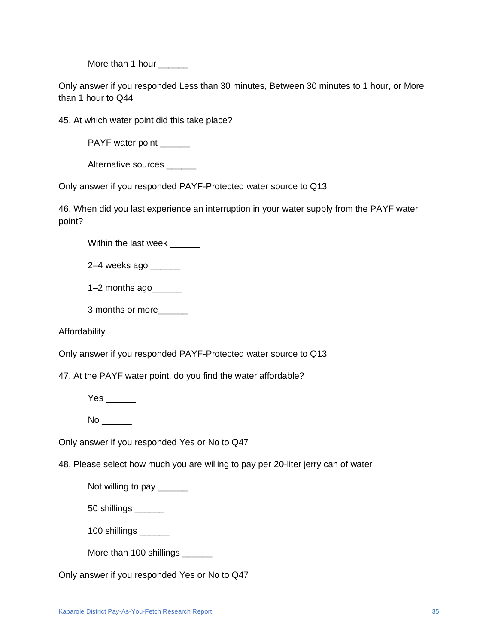More than 1 hour \_\_\_\_\_\_

Only answer if you responded Less than 30 minutes, Between 30 minutes to 1 hour, or More than 1 hour to Q44

45. At which water point did this take place?

PAYF water point \_\_\_\_\_

Alternative sources \_\_\_\_\_\_

Only answer if you responded PAYF-Protected water source to Q13

46. When did you last experience an interruption in your water supply from the PAYF water point?

Within the last week \_\_\_\_\_

2–4 weeks ago \_\_\_\_\_\_

 $1-2$  months ago<br> $\frac{1}{2}$ 

3 months or more\_\_\_\_\_\_

Affordability

Only answer if you responded PAYF-Protected water source to Q13

47. At the PAYF water point, do you find the water affordable?

Yes \_\_\_\_\_\_\_

No \_\_\_\_\_\_

Only answer if you responded Yes or No to Q47

48. Please select how much you are willing to pay per 20-liter jerry can of water

Not willing to pay \_\_\_\_\_

50 shillings \_\_\_\_\_\_

100 shillings \_\_\_\_\_\_

More than 100 shillings \_\_\_\_\_\_

Only answer if you responded Yes or No to Q47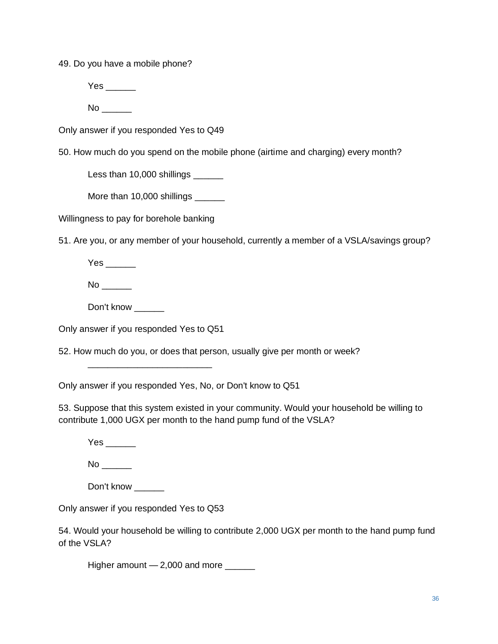49. Do you have a mobile phone?

Yes \_\_\_\_\_\_\_

No \_\_\_\_\_\_

Only answer if you responded Yes to Q49

50. How much do you spend on the mobile phone (airtime and charging) every month?

Less than 10,000 shillings \_\_\_\_\_

More than 10,000 shillings \_\_\_\_\_\_

Willingness to pay for borehole banking

51. Are you, or any member of your household, currently a member of a VSLA/savings group?

Yes \_\_\_\_\_\_\_

No \_\_\_\_\_\_

Don't know \_\_\_\_\_\_\_

Only answer if you responded Yes to Q51

\_\_\_\_\_\_\_\_\_\_\_\_\_\_\_\_\_\_\_\_\_\_\_\_\_

52. How much do you, or does that person, usually give per month or week?

Only answer if you responded Yes, No, or Don't know to Q51

53. Suppose that this system existed in your community. Would your household be willing to contribute 1,000 UGX per month to the hand pump fund of the VSLA?

Yes \_\_\_\_\_\_\_

 $No$   $\_\_$ 

Don't know

Only answer if you responded Yes to Q53

54. Would your household be willing to contribute 2,000 UGX per month to the hand pump fund of the VSLA?

Higher amount - 2,000 and more \_\_\_\_\_\_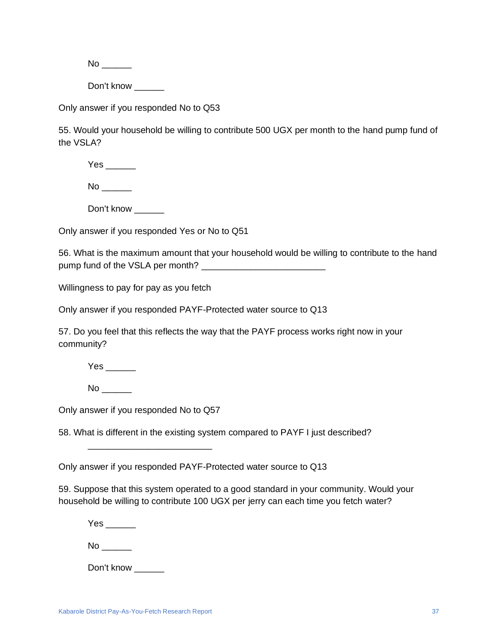$No$   $\qquad$ 

Don't know \_\_\_\_\_\_

Only answer if you responded No to Q53

55. Would your household be willing to contribute 500 UGX per month to the hand pump fund of the VSLA?

Yes \_\_\_\_\_\_

No \_\_\_\_\_\_

Don't know \_\_\_\_\_\_

Only answer if you responded Yes or No to Q51

56. What is the maximum amount that your household would be willing to contribute to the hand pump fund of the VSLA per month?

Willingness to pay for pay as you fetch

Only answer if you responded PAYF-Protected water source to Q13

57. Do you feel that this reflects the way that the PAYF process works right now in your community?

Yes \_\_\_\_\_\_\_

 $No$   $\qquad$ 

Only answer if you responded No to Q57

\_\_\_\_\_\_\_\_\_\_\_\_\_\_\_\_\_\_\_\_\_\_\_\_\_

58. What is different in the existing system compared to PAYF I just described?

Only answer if you responded PAYF-Protected water source to Q13

59. Suppose that this system operated to a good standard in your community. Would your household be willing to contribute 100 UGX per jerry can each time you fetch water?

Yes \_\_\_\_\_\_\_

No \_\_\_\_\_\_

Don't know \_\_\_\_\_\_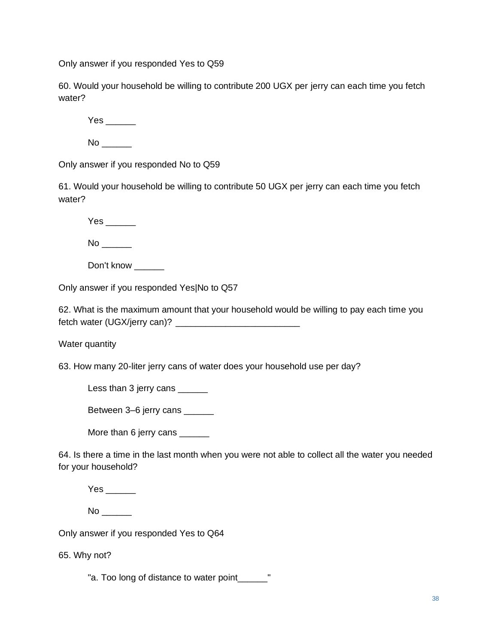Only answer if you responded Yes to Q59

60. Would your household be willing to contribute 200 UGX per jerry can each time you fetch water?

Yes \_\_\_\_\_\_\_  $No$   $\qquad$ 

Only answer if you responded No to Q59

61. Would your household be willing to contribute 50 UGX per jerry can each time you fetch water?

Yes \_\_\_\_\_\_\_

 $No$   $\qquad$ 

Don't know

Only answer if you responded Yes|No to Q57

62. What is the maximum amount that your household would be willing to pay each time you fetch water (UGX/jerry can)? \_\_\_\_\_\_\_\_\_\_\_\_\_\_\_\_\_\_\_\_\_\_\_\_\_

Water quantity

63. How many 20-liter jerry cans of water does your household use per day?

Less than 3 jerry cans \_\_\_\_\_\_

Between 3–6 jerry cans \_\_\_\_\_\_

More than 6 jerry cans \_\_\_\_\_\_\_

64. Is there a time in the last month when you were not able to collect all the water you needed for your household?

Yes \_\_\_\_\_\_\_

No \_\_\_\_\_\_

Only answer if you responded Yes to Q64

65. Why not?

"a. Too long of distance to water point"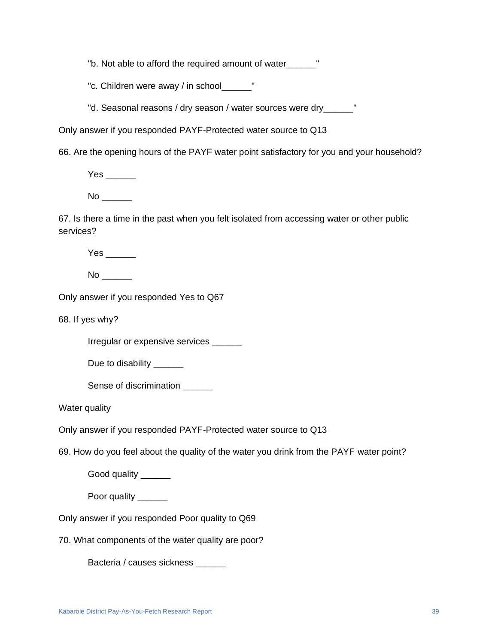"b. Not able to afford the required amount of water\_\_\_\_\_\_"

"c. Children were away / in school

"d. Seasonal reasons / dry season / water sources were dry\_\_\_\_\_\_"

Only answer if you responded PAYF-Protected water source to Q13

66. Are the opening hours of the PAYF water point satisfactory for you and your household?

Yes \_\_\_\_\_\_\_

 $No$   $\qquad$ 

67. Is there a time in the past when you felt isolated from accessing water or other public services?

Yes \_\_\_\_\_\_\_

No \_\_\_\_\_\_

Only answer if you responded Yes to Q67

68. If yes why?

Irregular or expensive services \_\_\_\_\_\_

Due to disability \_\_\_\_\_\_

Sense of discrimination \_\_\_\_\_\_

Water quality

Only answer if you responded PAYF-Protected water source to Q13

69. How do you feel about the quality of the water you drink from the PAYF water point?

Good quality \_\_\_\_\_\_

Poor quality \_\_\_\_\_\_

Only answer if you responded Poor quality to Q69

70. What components of the water quality are poor?

Bacteria / causes sickness \_\_\_\_\_\_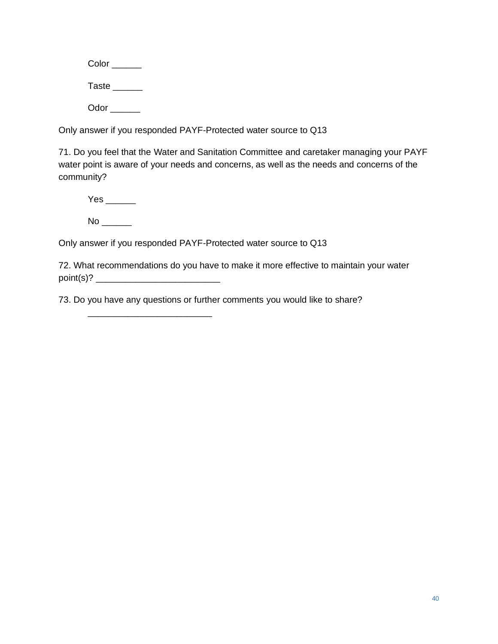| Color        |  |
|--------------|--|
| Taste $\_\_$ |  |
| Odor         |  |

Only answer if you responded PAYF-Protected water source to Q13

71. Do you feel that the Water and Sanitation Committee and caretaker managing your PAYF water point is aware of your needs and concerns, as well as the needs and concerns of the community?

Yes \_\_\_\_\_\_\_ No \_\_\_\_\_\_

\_\_\_\_\_\_\_\_\_\_\_\_\_\_\_\_\_\_\_\_\_\_\_\_\_

Only answer if you responded PAYF-Protected water source to Q13

72. What recommendations do you have to make it more effective to maintain your water point(s)? \_\_\_\_\_\_\_\_\_\_\_\_\_\_\_\_\_\_\_\_\_\_\_\_\_

73. Do you have any questions or further comments you would like to share?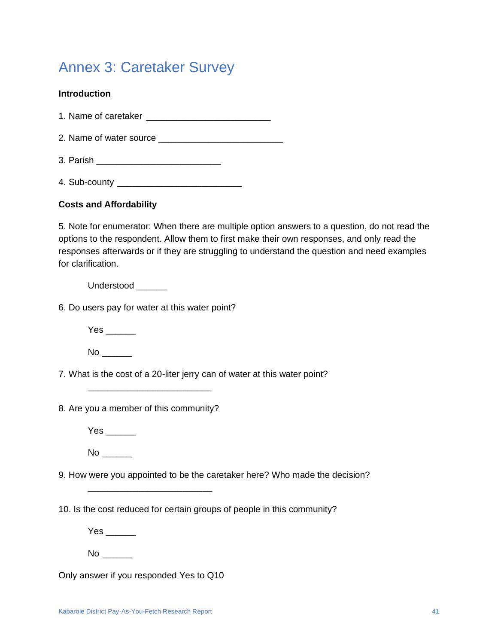### Annex 3: Caretaker Survey

#### **Introduction**

1. Name of caretaker \_\_\_\_\_\_\_\_\_\_\_\_\_\_\_\_\_\_\_\_\_\_\_\_\_

2. Name of water source \_\_\_\_\_\_\_\_\_\_\_\_\_\_\_\_\_\_\_\_\_\_\_\_\_

3. Parish \_\_\_\_\_\_\_\_\_\_\_\_\_\_\_\_\_\_\_\_\_\_\_\_\_

4. Sub-county \_\_\_\_\_\_\_\_\_\_\_\_\_\_\_\_\_\_\_\_\_\_\_\_\_

#### **Costs and Affordability**

5. Note for enumerator: When there are multiple option answers to a question, do not read the options to the respondent. Allow them to first make their own responses, and only read the responses afterwards or if they are struggling to understand the question and need examples for clarification.

Understood \_\_\_\_\_\_

6. Do users pay for water at this water point?

Yes \_\_\_\_\_\_

No \_\_\_\_\_\_

7. What is the cost of a 20-liter jerry can of water at this water point?

8. Are you a member of this community?

\_\_\_\_\_\_\_\_\_\_\_\_\_\_\_\_\_\_\_\_\_\_\_\_\_

\_\_\_\_\_\_\_\_\_\_\_\_\_\_\_\_\_\_\_\_\_\_\_\_\_

Yes  $\overline{\phantom{a}}$ 

No \_\_\_\_\_\_

9. How were you appointed to be the caretaker here? Who made the decision?

10. Is the cost reduced for certain groups of people in this community?

Yes \_\_\_\_\_\_\_

No \_\_\_\_\_\_

Only answer if you responded Yes to Q10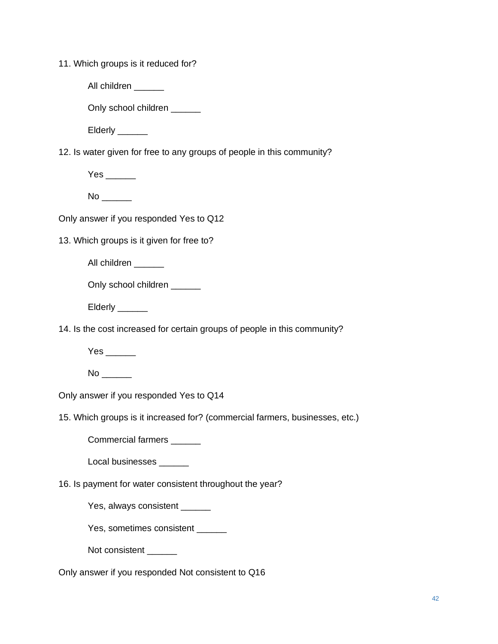|  |  |  |  |  | 11. Which groups is it reduced for? |  |
|--|--|--|--|--|-------------------------------------|--|
|--|--|--|--|--|-------------------------------------|--|

All children

Only school children \_\_\_\_

Elderly \_\_\_\_\_\_

12. Is water given for free to any groups of people in this community?

Yes \_\_\_\_\_\_\_

No \_\_\_\_\_\_

Only answer if you responded Yes to Q12

13. Which groups is it given for free to?

All children \_\_\_\_\_\_

Only school children \_\_\_\_

Elderly \_\_\_\_\_\_

14. Is the cost increased for certain groups of people in this community?

Yes \_\_\_\_\_\_

No \_\_\_\_\_\_

Only answer if you responded Yes to Q14

15. Which groups is it increased for? (commercial farmers, businesses, etc.)

Commercial farmers \_\_\_\_\_\_

Local businesses

16. Is payment for water consistent throughout the year?

Yes, always consistent

Yes, sometimes consistent \_\_\_\_\_\_

Not consistent \_\_\_\_\_\_

Only answer if you responded Not consistent to Q16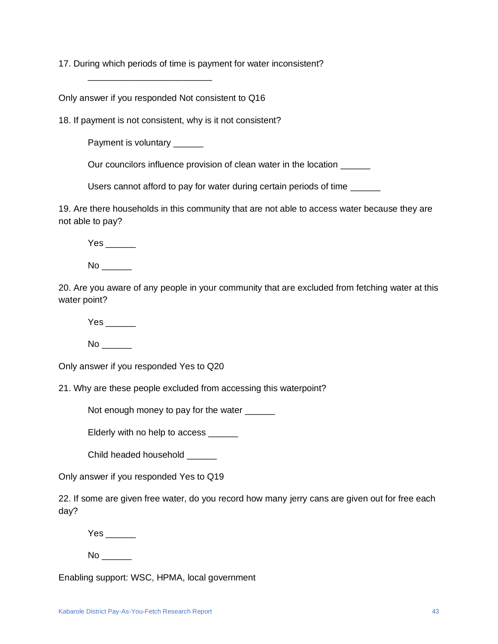17. During which periods of time is payment for water inconsistent?

Only answer if you responded Not consistent to Q16

\_\_\_\_\_\_\_\_\_\_\_\_\_\_\_\_\_\_\_\_\_\_\_\_\_

18. If payment is not consistent, why is it not consistent?

Payment is voluntary \_\_\_\_\_\_

Our councilors influence provision of clean water in the location \_\_\_\_\_\_

Users cannot afford to pay for water during certain periods of time \_\_\_\_\_

19. Are there households in this community that are not able to access water because they are not able to pay?

Yes \_\_\_\_\_\_\_

 $No$   $\longrightarrow$ 

20. Are you aware of any people in your community that are excluded from fetching water at this water point?

Yes \_\_\_\_\_\_\_

No \_\_\_\_\_\_

Only answer if you responded Yes to Q20

21. Why are these people excluded from accessing this waterpoint?

Not enough money to pay for the water \_\_\_\_\_\_

Elderly with no help to access \_\_\_\_\_\_

Child headed household \_\_\_\_\_\_

Only answer if you responded Yes to Q19

22. If some are given free water, do you record how many jerry cans are given out for free each day?

Yes \_\_\_\_\_\_\_

 $No$   $\longrightarrow$ 

Enabling support: WSC, HPMA, local government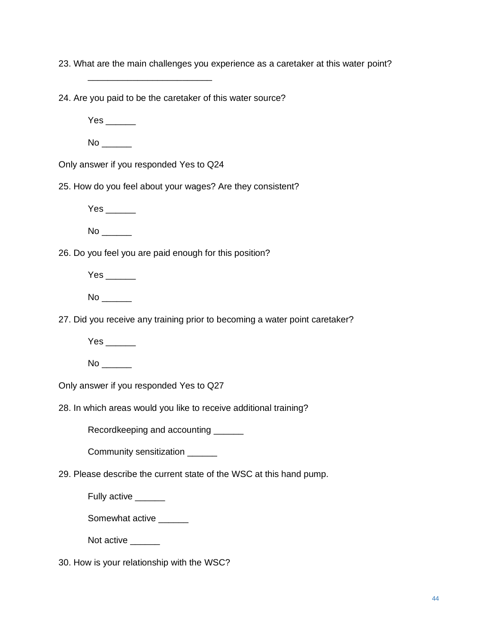23. What are the main challenges you experience as a caretaker at this water point?

24. Are you paid to be the caretaker of this water source?

Yes \_\_\_\_\_\_

 $No$   $\qquad$ 

Only answer if you responded Yes to Q24

\_\_\_\_\_\_\_\_\_\_\_\_\_\_\_\_\_\_\_\_\_\_\_\_\_

25. How do you feel about your wages? Are they consistent?

Yes \_\_\_\_\_\_

No \_\_\_\_\_\_

26. Do you feel you are paid enough for this position?

Yes \_\_\_\_\_\_\_

No \_\_\_\_\_\_

27. Did you receive any training prior to becoming a water point caretaker?

Yes \_\_\_\_\_\_

 $No$   $\longrightarrow$ 

Only answer if you responded Yes to Q27

28. In which areas would you like to receive additional training?

Recordkeeping and accounting \_\_\_\_\_\_

Community sensitization \_\_\_\_\_

29. Please describe the current state of the WSC at this hand pump.

Fully active \_\_\_\_\_\_

Somewhat active \_\_\_\_\_\_

Not active \_\_\_\_\_\_

30. How is your relationship with the WSC?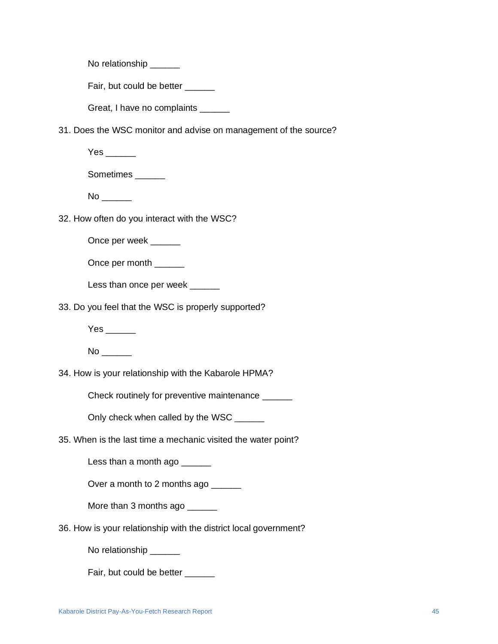No relationship \_\_\_\_\_

Fair, but could be better \_\_\_\_\_\_

Great, I have no complaints \_\_\_\_\_

31. Does the WSC monitor and advise on management of the source?

Yes \_\_\_\_\_\_

Sometimes \_\_\_\_\_\_

 $No$   $\qquad$ 

32. How often do you interact with the WSC?

Once per week \_\_\_\_\_\_

Once per month \_\_\_\_\_

Less than once per week \_\_\_\_\_

33. Do you feel that the WSC is properly supported?

Yes \_\_\_\_\_\_\_

No \_\_\_\_\_\_

34. How is your relationship with the Kabarole HPMA?

Check routinely for preventive maintenance \_\_\_\_\_\_

Only check when called by the WSC \_\_\_\_\_\_

35. When is the last time a mechanic visited the water point?

Less than a month ago \_\_\_\_\_\_

Over a month to 2 months ago \_\_\_\_\_\_

More than 3 months ago \_\_\_\_\_

36. How is your relationship with the district local government?

No relationship \_\_\_\_\_\_

Fair, but could be better \_\_\_\_\_\_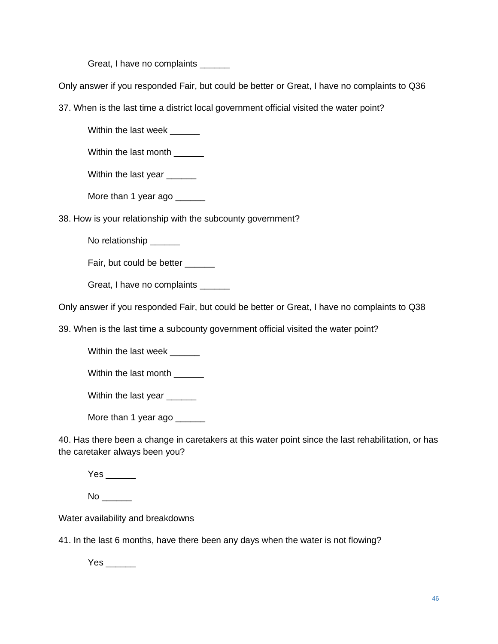Great, I have no complaints \_\_\_\_\_\_

Only answer if you responded Fair, but could be better or Great, I have no complaints to Q36

37. When is the last time a district local government official visited the water point?

Within the last week \_\_\_\_\_\_

Within the last month

Within the last year \_\_\_\_\_\_

More than 1 year ago \_\_\_\_\_

38. How is your relationship with the subcounty government?

No relationship \_\_\_\_\_

Fair, but could be better \_\_\_\_\_\_

Great, I have no complaints \_\_\_\_\_

Only answer if you responded Fair, but could be better or Great, I have no complaints to Q38

39. When is the last time a subcounty government official visited the water point?

Within the last week \_\_\_\_\_

Within the last month \_\_\_\_\_\_

Within the last year \_\_\_\_\_\_

More than 1 year ago \_\_\_\_\_

40. Has there been a change in caretakers at this water point since the last rehabilitation, or has the caretaker always been you?

Yes \_\_\_\_\_\_

No \_\_\_\_\_\_

Water availability and breakdowns

41. In the last 6 months, have there been any days when the water is not flowing?

Yes \_\_\_\_\_\_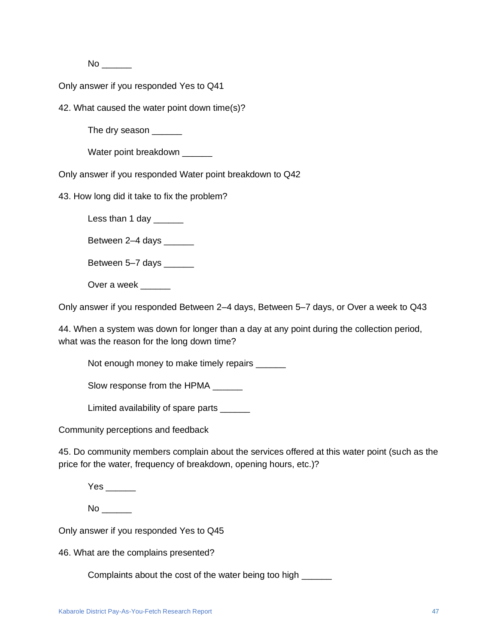$No$   $\longrightarrow$ 

Only answer if you responded Yes to Q41

42. What caused the water point down time(s)?

The dry season \_\_\_\_\_\_\_

Water point breakdown

Only answer if you responded Water point breakdown to Q42

43. How long did it take to fix the problem?

Less than 1 day  $\frac{1}{2}$ 

Between 2–4 days \_\_\_\_\_\_

Between 5–7 days \_\_\_\_\_\_

Over a week

Only answer if you responded Between 2–4 days, Between 5–7 days, or Over a week to Q43

44. When a system was down for longer than a day at any point during the collection period, what was the reason for the long down time?

Not enough money to make timely repairs \_\_\_\_\_\_

Slow response from the HPMA \_\_\_\_\_\_

Limited availability of spare parts \_\_\_\_\_\_

Community perceptions and feedback

45. Do community members complain about the services offered at this water point (such as the price for the water, frequency of breakdown, opening hours, etc.)?

Yes \_\_\_\_\_\_

No \_\_\_\_\_\_

Only answer if you responded Yes to Q45

46. What are the complains presented?

Complaints about the cost of the water being too high \_\_\_\_\_\_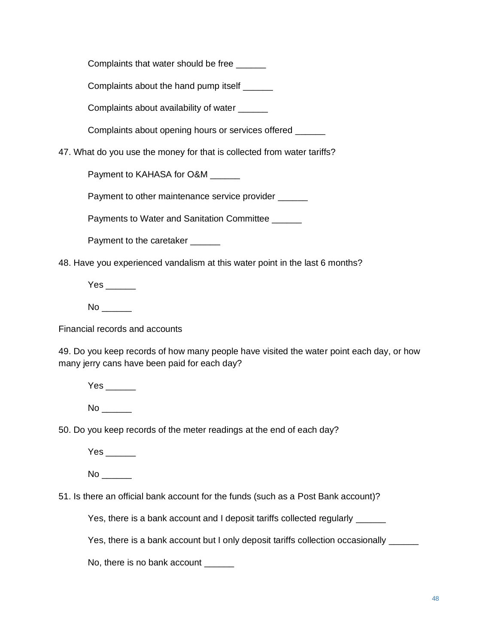Complaints that water should be free

Complaints about the hand pump itself \_\_\_\_\_\_

Complaints about availability of water \_\_\_\_\_\_

Complaints about opening hours or services offered

47. What do you use the money for that is collected from water tariffs?

Payment to KAHASA for O&M \_\_\_\_

Payment to other maintenance service provider \_\_\_\_\_\_

Payments to Water and Sanitation Committee \_\_\_\_\_\_

Payment to the caretaker \_\_\_\_\_\_

48. Have you experienced vandalism at this water point in the last 6 months?

Yes \_\_\_\_\_\_

 $No$   $\_\_$ 

Financial records and accounts

49. Do you keep records of how many people have visited the water point each day, or how many jerry cans have been paid for each day?

Yes \_\_\_\_\_\_\_

No \_\_\_\_\_\_

50. Do you keep records of the meter readings at the end of each day?

No \_\_\_\_\_\_

51. Is there an official bank account for the funds (such as a Post Bank account)?

Yes, there is a bank account and I deposit tariffs collected regularly \_\_\_\_\_

Yes, there is a bank account but I only deposit tariffs collection occasionally \_\_\_\_\_

No, there is no bank account \_\_\_\_\_\_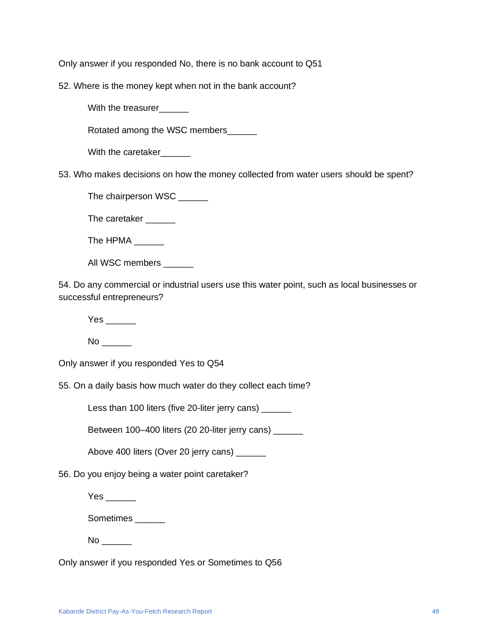Only answer if you responded No, there is no bank account to Q51

52. Where is the money kept when not in the bank account?

With the treasurer

Rotated among the WSC members\_\_\_\_\_\_

With the caretaker

53. Who makes decisions on how the money collected from water users should be spent?

The chairperson WSC \_\_\_\_\_\_

The caretaker \_\_\_\_\_

The HPMA \_\_\_\_\_\_

All WSC members \_\_\_\_\_\_

54. Do any commercial or industrial users use this water point, such as local businesses or successful entrepreneurs?

Yes \_\_\_\_\_\_

No \_\_\_\_\_\_

Only answer if you responded Yes to Q54

55. On a daily basis how much water do they collect each time?

Less than 100 liters (five 20-liter jerry cans)

Between 100-400 liters (20 20-liter jerry cans) \_\_\_\_\_\_

Above 400 liters (Over 20 jerry cans) \_\_\_\_\_

56. Do you enjoy being a water point caretaker?

Yes \_\_\_\_\_\_\_

Sometimes \_\_\_\_\_\_

 $No$   $\longrightarrow$ 

Only answer if you responded Yes or Sometimes to Q56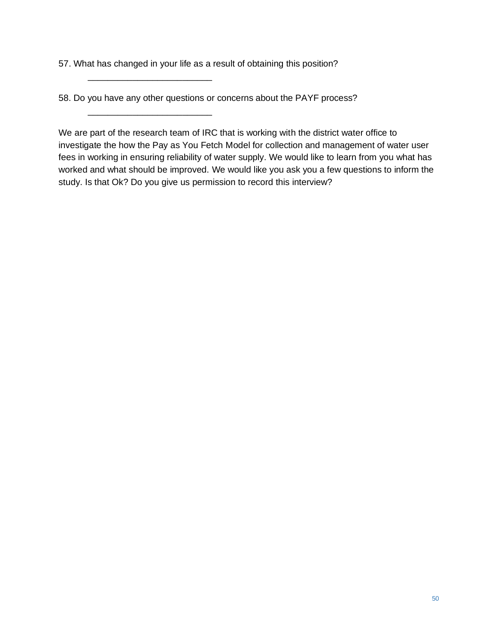57. What has changed in your life as a result of obtaining this position?

\_\_\_\_\_\_\_\_\_\_\_\_\_\_\_\_\_\_\_\_\_\_\_\_\_

\_\_\_\_\_\_\_\_\_\_\_\_\_\_\_\_\_\_\_\_\_\_\_\_\_

58. Do you have any other questions or concerns about the PAYF process?

We are part of the research team of IRC that is working with the district water office to investigate the how the Pay as You Fetch Model for collection and management of water user fees in working in ensuring reliability of water supply. We would like to learn from you what has worked and what should be improved. We would like you ask you a few questions to inform the study. Is that Ok? Do you give us permission to record this interview?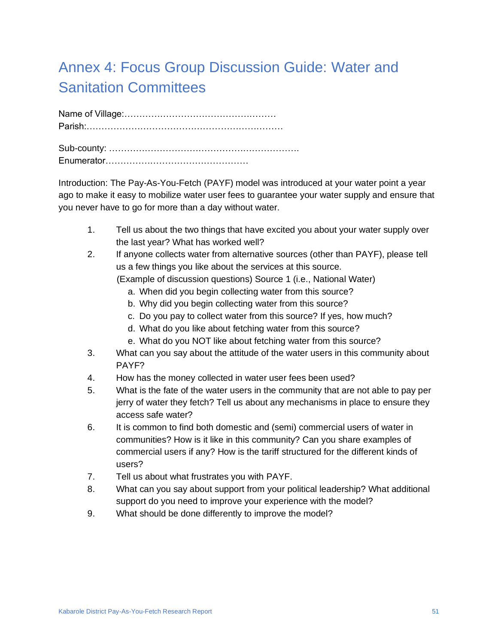# Annex 4: Focus Group Discussion Guide: Water and Sanitation Committees

Name of Village:…………………………………………… Parish:…………………………………………………………

Sub-county: ………………………………………………………. Enumerator…………………………………………

Introduction: The Pay-As-You-Fetch (PAYF) model was introduced at your water point a year ago to make it easy to mobilize water user fees to guarantee your water supply and ensure that you never have to go for more than a day without water.

- 1. Tell us about the two things that have excited you about your water supply over the last year? What has worked well?
- 2. If anyone collects water from alternative sources (other than PAYF), please tell us a few things you like about the services at this source.

(Example of discussion questions) Source 1 (i.e., National Water)

- a. When did you begin collecting water from this source?
- b. Why did you begin collecting water from this source?
- c. Do you pay to collect water from this source? If yes, how much?
- d. What do you like about fetching water from this source?
- e. What do you NOT like about fetching water from this source?
- 3. What can you say about the attitude of the water users in this community about PAYF?
- 4. How has the money collected in water user fees been used?
- 5. What is the fate of the water users in the community that are not able to pay per jerry of water they fetch? Tell us about any mechanisms in place to ensure they access safe water?
- 6. It is common to find both domestic and (semi) commercial users of water in communities? How is it like in this community? Can you share examples of commercial users if any? How is the tariff structured for the different kinds of users?
- 7. Tell us about what frustrates you with PAYF.
- 8. What can you say about support from your political leadership? What additional support do you need to improve your experience with the model?
- 9. What should be done differently to improve the model?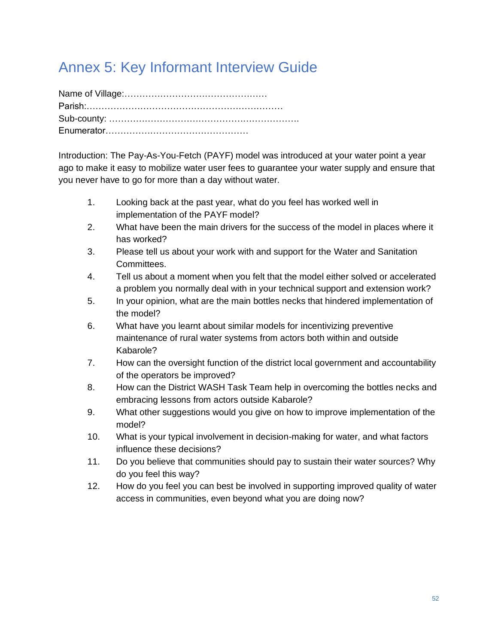### Annex 5: Key Informant Interview Guide

Introduction: The Pay-As-You-Fetch (PAYF) model was introduced at your water point a year ago to make it easy to mobilize water user fees to guarantee your water supply and ensure that you never have to go for more than a day without water.

- 1. Looking back at the past year, what do you feel has worked well in implementation of the PAYF model?
- 2. What have been the main drivers for the success of the model in places where it has worked?
- 3. Please tell us about your work with and support for the Water and Sanitation Committees.
- 4. Tell us about a moment when you felt that the model either solved or accelerated a problem you normally deal with in your technical support and extension work?
- 5. In your opinion, what are the main bottles necks that hindered implementation of the model?
- 6. What have you learnt about similar models for incentivizing preventive maintenance of rural water systems from actors both within and outside Kabarole?
- 7. How can the oversight function of the district local government and accountability of the operators be improved?
- 8. How can the District WASH Task Team help in overcoming the bottles necks and embracing lessons from actors outside Kabarole?
- 9. What other suggestions would you give on how to improve implementation of the model?
- 10. What is your typical involvement in decision-making for water, and what factors influence these decisions?
- 11. Do you believe that communities should pay to sustain their water sources? Why do you feel this way?
- 12. How do you feel you can best be involved in supporting improved quality of water access in communities, even beyond what you are doing now?